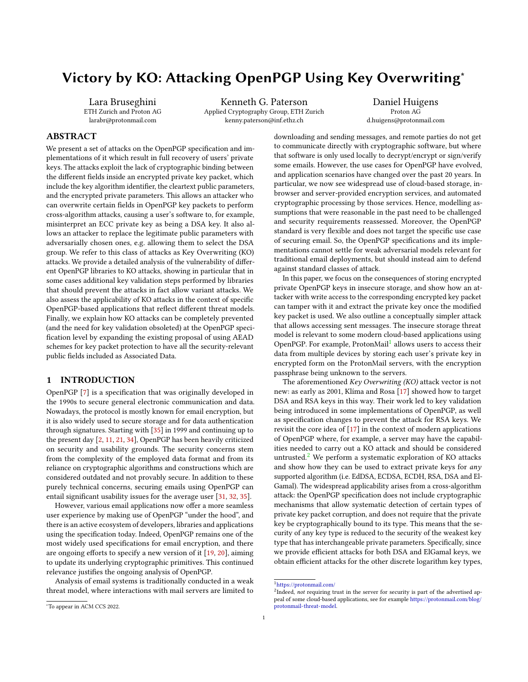# Victory by KO: Attacking OpenPGP Using Key Overwriting<sup>∗</sup>

Lara Bruseghini ETH Zurich and Proton AG larabr@protonmail.com

Kenneth G. Paterson Applied Cryptography Group, ETH Zurich kenny.paterson@inf.ethz.ch

Daniel Huigens Proton AG d.huigens@protonmail.com

## ABSTRACT

We present a set of attacks on the OpenPGP specification and implementations of it which result in full recovery of users' private keys. The attacks exploit the lack of cryptographic binding between the different fields inside an encrypted private key packet, which include the key algorithm identifier, the cleartext public parameters, and the encrypted private parameters. This allows an attacker who can overwrite certain fields in OpenPGP key packets to perform cross-algorithm attacks, causing a user's software to, for example, misinterpret an ECC private key as being a DSA key. It also allows an attacker to replace the legitimate public parameters with adversarially chosen ones, e.g. allowing them to select the DSA group. We refer to this class of attacks as Key Overwriting (KO) attacks. We provide a detailed analysis of the vulnerability of different OpenPGP libraries to KO attacks, showing in particular that in some cases additional key validation steps performed by libraries that should prevent the attacks in fact allow variant attacks. We also assess the applicability of KO attacks in the context of specific OpenPGP-based applications that reflect different threat models. Finally, we explain how KO attacks can be completely prevented (and the need for key validation obsoleted) at the OpenPGP specification level by expanding the existing proposal of using AEAD schemes for key packet protection to have all the security-relevant public fields included as Associated Data.

#### 1 INTRODUCTION

OpenPGP [\[7\]](#page-12-0) is a specification that was originally developed in the 1990s to secure general electronic communication and data. Nowadays, the protocol is mostly known for email encryption, but it is also widely used to secure storage and for data authentication through signatures. Starting with [\[35\]](#page-12-1) in 1999 and continuing up to the present day [\[2,](#page-11-0) [11,](#page-12-2) [21,](#page-12-3) [34\]](#page-12-4), OpenPGP has been heavily criticized on security and usability grounds. The security concerns stem from the complexity of the employed data format and from its reliance on cryptographic algorithms and constructions which are considered outdated and not provably secure. In addition to these purely technical concerns, securing emails using OpenPGP can entail significant usability issues for the average user [\[31,](#page-12-5) [32,](#page-12-6) [35\]](#page-12-1).

However, various email applications now offer a more seamless user experience by making use of OpenPGP "under the hood", and there is an active ecosystem of developers, libraries and applications using the specification today. Indeed, OpenPGP remains one of the most widely used specifications for email encryption, and there are ongoing efforts to specify a new version of it [\[19,](#page-12-7) [20\]](#page-12-8), aiming to update its underlying cryptographic primitives. This continued relevance justifies the ongoing analysis of OpenPGP.

Analysis of email systems is traditionally conducted in a weak threat model, where interactions with mail servers are limited to

In this paper, we focus on the consequences of storing encrypted private OpenPGP keys in insecure storage, and show how an attacker with write access to the corresponding encrypted key packet can tamper with it and extract the private key once the modified key packet is used. We also outline a conceptually simpler attack that allows accessing sent messages. The insecure storage threat model is relevant to some modern cloud-based applications using OpenPGP. For example, ProtonMail<sup>[1](#page-0-0)</sup> allows users to access their data from multiple devices by storing each user's private key in encrypted form on the ProtonMail servers, with the encryption passphrase being unknown to the servers.

The aforementioned Key Overwriting (KO) attack vector is not new: as early as 2001, Klíma and Rosa [\[17\]](#page-12-9) showed how to target DSA and RSA keys in this way. Their work led to key validation being introduced in some implementations of OpenPGP, as well as specification changes to prevent the attack for RSA keys. We revisit the core idea of [\[17\]](#page-12-9) in the context of modern applications of OpenPGP where, for example, a server may have the capabilities needed to carry out a KO attack and should be considered untrusted. $2$  We perform a systematic exploration of KO attacks and show how they can be used to extract private keys for any supported algorithm (i.e. EdDSA, ECDSA, ECDH, RSA, DSA and El-Gamal). The widespread applicability arises from a cross-algorithm attack: the OpenPGP specification does not include cryptographic mechanisms that allow systematic detection of certain types of private key packet corruption, and does not require that the private key be cryptographically bound to its type. This means that the security of any key type is reduced to the security of the weakest key type that has interchangeable private parameters. Specifically, since we provide efficient attacks for both DSA and ElGamal keys, we obtain efficient attacks for the other discrete logarithm key types,

downloading and sending messages, and remote parties do not get to communicate directly with cryptographic software, but where that software is only used locally to decrypt/encrypt or sign/verify some emails. However, the use cases for OpenPGP have evolved, and application scenarios have changed over the past 20 years. In particular, we now see widespread use of cloud-based storage, inbrowser and server-provided encryption services, and automated cryptographic processing by those services. Hence, modelling assumptions that were reasonable in the past need to be challenged and security requirements reassessed. Moreover, the OpenPGP standard is very flexible and does not target the specific use case of securing email. So, the OpenPGP specifications and its implementations cannot settle for weak adversarial models relevant for traditional email deployments, but should instead aim to defend against standard classes of attack.

<span id="page-0-0"></span><sup>1</sup><https://protonmail.com/>

<span id="page-0-1"></span><sup>&</sup>lt;sup>2</sup>Indeed, not requiring trust in the server for security is part of the advertised appeal of some cloud-based applications, see for example [https://protonmail.com/blog/](https://protonmail.com/blog/protonmail-threat-model) [protonmail-threat-model.](https://protonmail.com/blog/protonmail-threat-model)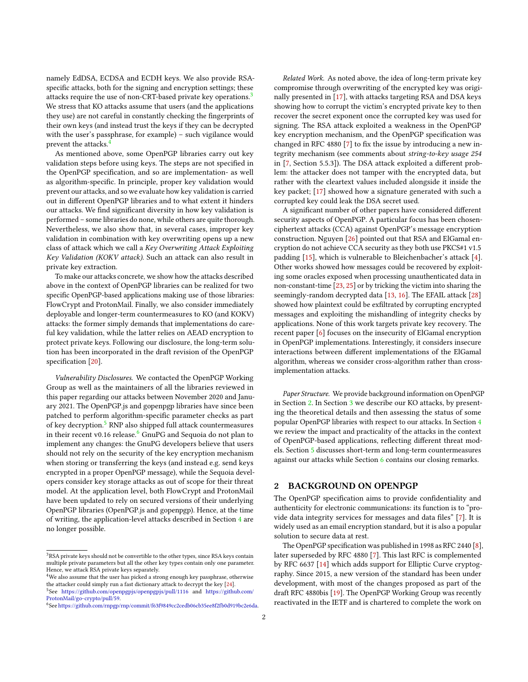namely EdDSA, ECDSA and ECDH keys. We also provide RSAspecific attacks, both for the signing and encryption settings; these attacks require the use of non-CRT-based private key operations.<sup>[3](#page-1-0)</sup> We stress that KO attacks assume that users (and the applications they use) are not careful in constantly checking the fingerprints of their own keys (and instead trust the keys if they can be decrypted with the user's passphrase, for example) – such vigilance would prevent the attacks.[4](#page-1-1)

As mentioned above, some OpenPGP libraries carry out key validation steps before using keys. The steps are not specified in the OpenPGP specification, and so are implementation- as well as algorithm-specific. In principle, proper key validation would prevent our attacks, and so we evaluate how key validation is carried out in different OpenPGP libraries and to what extent it hinders our attacks. We find significant diversity in how key validation is performed – some libraries do none, while others are quite thorough. Nevertheless, we also show that, in several cases, improper key validation in combination with key overwriting opens up a new class of attack which we call a Key Overwriting Attack Exploiting Key Validation (KOKV attack). Such an attack can also result in private key extraction.

To make our attacks concrete, we show how the attacks described above in the context of OpenPGP libraries can be realized for two specific OpenPGP-based applications making use of those libraries: FlowCrypt and ProtonMail. Finally, we also consider immediately deployable and longer-term countermeasures to KO (and KOKV) attacks: the former simply demands that implementations do careful key validation, while the latter relies on AEAD encryption to protect private keys. Following our disclosure, the long-term solution has been incorporated in the draft revision of the OpenPGP specification [\[20\]](#page-12-8).

Vulnerability Disclosures. We contacted the OpenPGP Working Group as well as the maintainers of all the libraries reviewed in this paper regarding our attacks between November 2020 and January 2021. The OpenPGP.js and gopenpgp libraries have since been patched to perform algorithm-specific parameter checks as part of key decryption.[5](#page-1-2) RNP also shipped full attack countermeasures in their recent v0.1[6](#page-1-3) release. $6$  GnuPG and Sequoia do not plan to implement any changes: the GnuPG developers believe that users should not rely on the security of the key encryption mechanism when storing or transferring the keys (and instead e.g. send keys encrypted in a proper OpenPGP message), while the Sequoia developers consider key storage attacks as out of scope for their threat model. At the application level, both FlowCrypt and ProtonMail have been updated to rely on secured versions of their underlying OpenPGP libraries (OpenPGP.js and gopenpgp). Hence, at the time of writing, the application-level attacks described in Section [4](#page-8-0) are no longer possible.

Related Work. As noted above, the idea of long-term private key compromise through overwriting of the encrypted key was originally presented in [\[17\]](#page-12-9), with attacks targeting RSA and DSA keys showing how to corrupt the victim's encrypted private key to then recover the secret exponent once the corrupted key was used for signing. The RSA attack exploited a weakness in the OpenPGP key encryption mechanism, and the OpenPGP specification was changed in RFC 4880 [\[7\]](#page-12-0) to fix the issue by introducing a new integrity mechanism (see comments about string-to-key usage 254 in [\[7,](#page-12-0) Section 5.5.3]). The DSA attack exploited a different problem: the attacker does not tamper with the encrypted data, but rather with the cleartext values included alongside it inside the key packet; [\[17\]](#page-12-9) showed how a signature generated with such a corrupted key could leak the DSA secret used.

A significant number of other papers have considered different security aspects of OpenPGP. A particular focus has been chosenciphertext attacks (CCA) against OpenPGP's message encryption construction. Nguyen [\[26\]](#page-12-11) pointed out that RSA and ElGamal encryption do not achieve CCA security as they both use PKCS#1 v1.5 padding [\[15\]](#page-12-12), which is vulnerable to Bleichenbacher's attack [\[4\]](#page-12-13). Other works showed how messages could be recovered by exploiting some oracles exposed when processing unauthenticated data in non-constant-time [\[23,](#page-12-14) [25\]](#page-12-15) or by tricking the victim into sharing the seemingly-random decrypted data [\[13,](#page-12-16) [16\]](#page-12-17). The EFAIL attack [\[28\]](#page-12-18) showed how plaintext could be exfiltrated by corrupting encrypted messages and exploiting the mishandling of integrity checks by applications. None of this work targets private key recovery. The recent paper [\[6\]](#page-12-19) focuses on the insecurity of ElGamal encryption in OpenPGP implementations. Interestingly, it considers insecure interactions between different implementations of the ElGamal algorithm, whereas we consider cross-algorithm rather than crossimplementation attacks.

Paper Structure. We provide background information on OpenPGP in Section [2.](#page-1-4) In Section [3](#page-3-0) we describe our KO attacks, by presenting the theoretical details and then assessing the status of some popular OpenPGP libraries with respect to our attacks. In Section [4](#page-8-0) we review the impact and practicality of the attacks in the context of OpenPGP-based applications, reflecting different threat models. Section [5](#page-11-1) discusses short-term and long-term countermeasures against our attacks while Section [6](#page-11-2) contains our closing remarks.

#### <span id="page-1-4"></span>2 BACKGROUND ON OPENPGP

The OpenPGP specification aims to provide confidentiality and authenticity for electronic communications: its function is to "provide data integrity services for messages and data files" [\[7\]](#page-12-0). It is widely used as an email encryption standard, but it is also a popular solution to secure data at rest.

The OpenPGP specification was published in 1998 as RFC 2440 [\[8\]](#page-12-20), later superseded by RFC 4880 [\[7\]](#page-12-0). This last RFC is complemented by RFC 6637 [\[14\]](#page-12-21) which adds support for Elliptic Curve cryptography. Since 2015, a new version of the standard has been under development, with most of the changes proposed as part of the draft RFC 4880bis [\[19\]](#page-12-7). The OpenPGP Working Group was recently reactivated in the IETF and is chartered to complete the work on

<span id="page-1-0"></span> ${\rm ^3RSA}$  private keys should not be convertible to the other types, since RSA keys contain multiple private parameters but all the other key types contain only one parameter. Hence, we attack RSA private keys separately.

<span id="page-1-1"></span><sup>&</sup>lt;sup>4</sup>We also assume that the user has picked a strong enough key passphrase, otherwise the attacker could simply run a fast dictionary attack to decrypt the key [\[24\]](#page-12-10). 5 See <https://github.com/openpgpjs/openpgpjs/pull/1116> and [https://github.com/](https://github.com/ProtonMail/go-crypto/pull/59)

<span id="page-1-3"></span><span id="page-1-2"></span>[ProtonMail/go-crypto/pull/59.](https://github.com/ProtonMail/go-crypto/pull/59) 6 See [https://github.com/rnpgp/rnp/commit/f63f9849cc2cedb06cb35ee8f2fb0d919bc2e6da.](https://github.com/rnpgp/rnp/commit/f63f9849cc2cedb06cb35ee8f2fb0d919bc2e6da)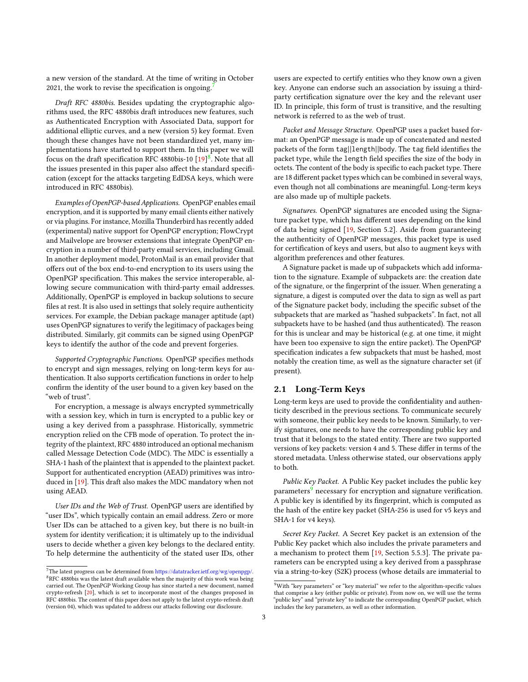a new version of the standard. At the time of writing in October 2021, the work to revise the specification is ongoing.

Draft RFC 4880bis. Besides updating the cryptographic algorithms used, the RFC 4880bis draft introduces new features, such as Authenticated Encryption with Associated Data, support for additional elliptic curves, and a new (version 5) key format. Even though these changes have not been standardized yet, many implementations have started to support them. In this paper we will focus on the draft specification RFC 4[8](#page-2-1)80bis-10  $[19]^{8}$  $[19]^{8}$ . Note that all the issues presented in this paper also affect the standard specification (except for the attacks targeting EdDSA keys, which were introduced in RFC 4880bis).

Examples of OpenPGP-based Applications. OpenPGP enables email encryption, and it is supported by many email clients either natively or via plugins. For instance, Mozilla Thunderbird has recently added (experimental) native support for OpenPGP encryption; FlowCrypt and Mailvelope are browser extensions that integrate OpenPGP encryption in a number of third-party email services, including Gmail. In another deployment model, ProtonMail is an email provider that offers out of the box end-to-end encryption to its users using the OpenPGP specification. This makes the service interoperable, allowing secure communication with third-party email addresses. Additionally, OpenPGP is employed in backup solutions to secure files at rest. It is also used in settings that solely require authenticity services. For example, the Debian package manager aptitude (apt) uses OpenPGP signatures to verify the legitimacy of packages being distributed. Similarly, git commits can be signed using OpenPGP keys to identify the author of the code and prevent forgeries.

Supported Cryptographic Functions. OpenPGP specifies methods to encrypt and sign messages, relying on long-term keys for authentication. It also supports certification functions in order to help confirm the identity of the user bound to a given key based on the "web of trust".

For encryption, a message is always encrypted symmetrically with a session key, which in turn is encrypted to a public key or using a key derived from a passphrase. Historically, symmetric encryption relied on the CFB mode of operation. To protect the integrity of the plaintext, RFC 4880 introduced an optional mechanism called Message Detection Code (MDC). The MDC is essentially a SHA-1 hash of the plaintext that is appended to the plaintext packet. Support for authenticated encryption (AEAD) primitives was introduced in [\[19\]](#page-12-7). This draft also makes the MDC mandatory when not using AEAD.

User IDs and the Web of Trust. OpenPGP users are identified by "user IDs", which typically contain an email address. Zero or more User IDs can be attached to a given key, but there is no built-in system for identity verification; it is ultimately up to the individual users to decide whether a given key belongs to the declared entity. To help determine the authenticity of the stated user IDs, other

users are expected to certify entities who they know own a given key. Anyone can endorse such an association by issuing a thirdparty certification signature over the key and the relevant user ID. In principle, this form of trust is transitive, and the resulting network is referred to as the web of trust.

Packet and Message Structure. OpenPGP uses a packet based format: an OpenPGP message is made up of concatenated and nested packets of the form tag||length||body. The tag field identifies the packet type, while the length field specifies the size of the body in octets. The content of the body is specific to each packet type. There are 18 different packet types which can be combined in several ways, even though not all combinations are meaningful. Long-term keys are also made up of multiple packets.

Signatures. OpenPGP signatures are encoded using the Signature packet type, which has different uses depending on the kind of data being signed [\[19,](#page-12-7) Section 5.2]. Aside from guaranteeing the authenticity of OpenPGP messages, this packet type is used for certification of keys and users, but also to augment keys with algorithm preferences and other features.

A Signature packet is made up of subpackets which add information to the signature. Example of subpackets are: the creation date of the signature, or the fingerprint of the issuer. When generating a signature, a digest is computed over the data to sign as well as part of the Signature packet body, including the specific subset of the subpackets that are marked as "hashed subpackets". In fact, not all subpackets have to be hashed (and thus authenticated). The reason for this is unclear and may be historical (e.g. at one time, it might have been too expensive to sign the entire packet). The OpenPGP specification indicates a few subpackets that must be hashed, most notably the creation time, as well as the signature character set (if present).

#### <span id="page-2-3"></span>2.1 Long-Term Keys

Long-term keys are used to provide the confidentiality and authenticity described in the previous sections. To communicate securely with someone, their public key needs to be known. Similarly, to verify signatures, one needs to have the corresponding public key and trust that it belongs to the stated entity. There are two supported versions of key packets: version 4 and 5. These differ in terms of the stored metadata. Unless otherwise stated, our observations apply to both.

Public Key Packet. A Public Key packet includes the public key parameters<sup>[9](#page-2-2)</sup> necessary for encryption and signature verification. A public key is identified by its fingerprint, which is computed as the hash of the entire key packet (SHA-256 is used for v5 keys and SHA-1 for v4 keys).

Secret Key Packet. A Secret Key packet is an extension of the Public Key packet which also includes the private parameters and a mechanism to protect them [\[19,](#page-12-7) Section 5.5.3]. The private parameters can be encrypted using a key derived from a passphrase via a string-to-key (S2K) process (whose details are immaterial to

<span id="page-2-1"></span><span id="page-2-0"></span> ${\rm ^7The}$  latest progress can be determined from [https://datatracker.ietf.org/wg/openpgp/.](https://datatracker.ietf.org/wg/openpgp/)  $8RFC$  4880bis was the latest draft available when the majority of this work was being carried out. The OpenPGP Working Group has since started a new document, named crypto-refresh [\[20\]](#page-12-8), which is set to incorporate most of the changes proposed in RFC 4880bis. The content of this paper does not apply to the latest crypto-refresh draft (version 04), which was updated to address our attacks following our disclosure.

<span id="page-2-2"></span> $^9\rm{With}$  "key parameters" or "key material" we refer to the algorithm-specific values that comprise a key (either public or private). From now on, we will use the terms "public key" and "private key" to indicate the corresponding OpenPGP packet, which includes the key parameters, as well as other information.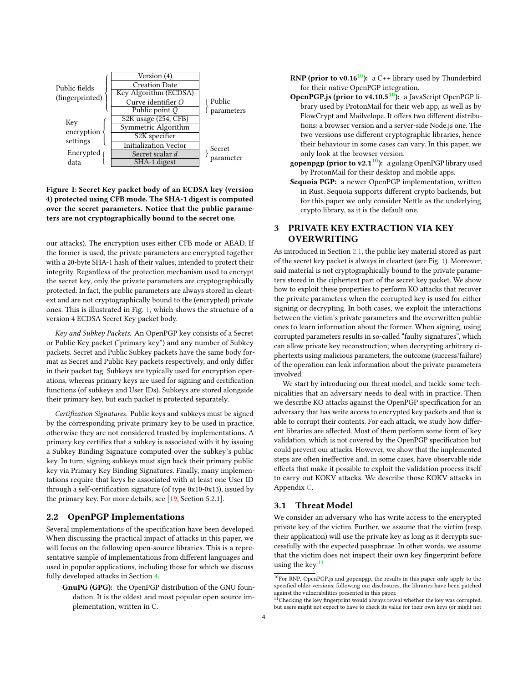<span id="page-3-1"></span>

Figure 1: Secret Key packet body of an ECDSA key (version 4) protected using CFB mode. The SHA-1 digest is computed over the secret parameters. Notice that the public parameters are not cryptographically bound to the secret one.

our attacks). The encryption uses either CFB mode or AEAD. If the former is used, the private parameters are encrypted together with a 20-byte SHA-1 hash of their values, intended to protect their integrity. Regardless of the protection mechanism used to encrypt the secret key, only the private parameters are cryptographically protected. In fact, the public parameters are always stored in cleartext and are not cryptographically bound to the (encrypted) private ones. This is illustrated in Fig. [1,](#page-3-1) which shows the structure of a version 4 ECDSA Secret Key packet body.

Key and Subkey Packets. An OpenPGP key consists of a Secret or Public Key packet ("primary key") and any number of Subkey packets. Secret and Public Subkey packets have the same body format as Secret and Public Key packets respectively, and only differ in their packet tag. Subkeys are typically used for encryption operations, whereas primary keys are used for signing and certification functions (of subkeys and User IDs). Subkeys are stored alongside their primary key, but each packet is protected separately.

Certification Signatures. Public keys and subkeys must be signed by the corresponding private primary key to be used in practice, otherwise they are not considered trusted by implementations. A primary key certifies that a subkey is associated with it by issuing a Subkey Binding Signature computed over the subkey's public key. In turn, signing subkeys must sign back their primary public key via Primary Key Binding Signatures. Finally, many implementations require that keys be associated with at least one User ID through a self-certification signature (of type 0x10-0x13), issued by the primary key. For more details, see [\[19,](#page-12-7) Section 5.2.1].

### 2.2 OpenPGP Implementations

Several implementations of the specification have been developed. When discussing the practical impact of attacks in this paper, we will focus on the following open-source libraries. This is a representative sample of implementations from different languages and used in popular applications, including those for which we discuss fully developed attacks in Section [4.](#page-8-0)

GnuPG (GPG): the OpenPGP distribution of the GNU foundation. It is the oldest and most popular open source implementation, written in C.

- **RNP** (prior to v0.16<sup>[10](#page-3-2)</sup>): a C++ library used by Thunderbird for their native OpenPGP integration.
- OpenPGP.js (prior to v4.[10](#page-3-2).5<sup>10</sup>): a JavaScript OpenPGP library used by ProtonMail for their web app, as well as by FlowCrypt and Mailvelope. It offers two different distributions: a browser version and a server-side Node.js one. The two versions use different cryptographic libraries, hence their behaviour in some cases can vary. In this paper, we only look at the browser version.
- gopenpgp (prior to v2.1<sup>[10](#page-3-2)</sup>): a golang OpenPGP library used by ProtonMail for their desktop and mobile apps.
- Sequoia PGP: a newer OpenPGP implementation, written in Rust. Sequoia supports different crypto backends, but for this paper we only consider Nettle as the underlying crypto library, as it is the default one.

## <span id="page-3-0"></span>3 PRIVATE KEY EXTRACTION VIA KEY OVERWRITING

As introduced in Section [2.1,](#page-2-3) the public key material stored as part of the secret key packet is always in cleartext (see Fig. [1\)](#page-3-1). Moreover, said material is not cryptographically bound to the private parameters stored in the ciphertext part of the secret key packet. We show how to exploit these properties to perform KO attacks that recover the private parameters when the corrupted key is used for either signing or decrypting. In both cases, we exploit the interactions between the victim's private parameters and the overwritten public ones to learn information about the former. When signing, using corrupted parameters results in so-called "faulty signatures", which can allow private key reconstruction; when decrypting arbitrary ciphertexts using malicious parameters, the outcome (success/failure) of the operation can leak information about the private parameters involved.

We start by introducing our threat model, and tackle some technicalities that an adversary needs to deal with in practice. Then we describe KO attacks against the OpenPGP specification for an adversary that has write access to encrypted key packets and that is able to corrupt their contents. For each attack, we study how different libraries are affected. Most of them perform some form of key validation, which is not covered by the OpenPGP specification but could prevent our attacks. However, we show that the implemented steps are often ineffective and, in some cases, have observable side effects that make it possible to exploit the validation process itself to carry out KOKV attacks. We describe those KOKV attacks in Appendix [C.](#page-14-0)

#### 3.1 Threat Model

We consider an adversary who has write access to the encrypted private key of the victim. Further, we assume that the victim (resp. their application) will use the private key as long as it decrypts successfully with the expected passphrase. In other words, we assume that the victim does not inspect their own key fingerprint before using the key. $11$ 

<span id="page-3-2"></span><sup>10</sup>For RNP, OpenPGP.js and gopenpgp, the results in this paper only apply to the specified older versions; following our disclosures, the libraries have been patched against the vulnerabilities presented in this paper.<br><sup>11</sup>Checking the key fingerprint would always reveal whether the key was corrupted,

<span id="page-3-3"></span>but users might not expect to have to check its value for their own keys (or might not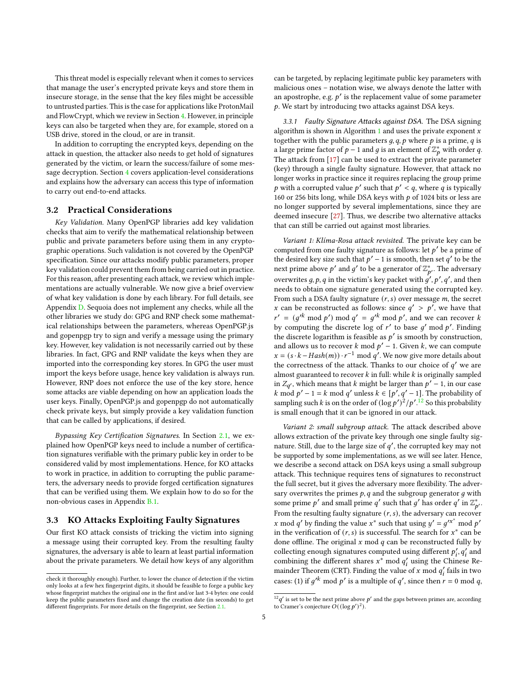This threat model is especially relevant when it comes to services that manage the user's encrypted private keys and store them in insecure storage, in the sense that the key files might be accessible to untrusted parties. This is the case for applications like ProtonMail and FlowCrypt, which we review in Section [4.](#page-8-0) However, in principle keys can also be targeted when they are, for example, stored on a USB drive, stored in the cloud, or are in transit.

In addition to corrupting the encrypted keys, depending on the attack in question, the attacker also needs to get hold of signatures generated by the victim, or learn the success/failure of some message decryption. Section [4](#page-8-0) covers application-level considerations and explains how the adversary can access this type of information to carry out end-to-end attacks.

#### 3.2 Practical Considerations

Key Validation. Many OpenPGP libraries add key validation checks that aim to verify the mathematical relationship between public and private parameters before using them in any cryptographic operations. Such validation is not covered by the OpenPGP specification. Since our attacks modify public parameters, proper key validation could prevent them from being carried out in practice. For this reason, after presenting each attack, we review which implementations are actually vulnerable. We now give a brief overview of what key validation is done by each library. For full details, see Appendix [D.](#page-16-0) Sequoia does not implement any checks, while all the other libraries we study do: GPG and RNP check some mathematical relationships between the parameters, whereas OpenPGP.js and gopenpgp try to sign and verify a message using the primary key. However, key validation is not necessarily carried out by these libraries. In fact, GPG and RNP validate the keys when they are imported into the corresponding key stores. In GPG the user must import the keys before usage, hence key validation is always run. However, RNP does not enforce the use of the key store, hence some attacks are viable depending on how an application loads the user keys. Finally, OpenPGP.js and gopenpgp do not automatically check private keys, but simply provide a key validation function that can be called by applications, if desired.

Bypassing Key Certification Signatures. In Section [2.1,](#page-2-3) we explained how OpenPGP keys need to include a number of certification signatures verifiable with the primary public key in order to be considered valid by most implementations. Hence, for KO attacks to work in practice, in addition to corrupting the public parameters, the adversary needs to provide forged certification signatures that can be verified using them. We explain how to do so for the non-obvious cases in Appendix [B.1.](#page-13-0)

#### <span id="page-4-2"></span>3.3 KO Attacks Exploiting Faulty Signatures

Our first KO attack consists of tricking the victim into signing a message using their corrupted key. From the resulting faulty signatures, the adversary is able to learn at least partial information about the private parameters. We detail how keys of any algorithm can be targeted, by replacing legitimate public key parameters with malicious ones – notation wise, we always denote the latter with an apostrophe, e.g.  $p'$  is the replacement value of some parameter . We start by introducing two attacks against DSA keys.

<span id="page-4-1"></span>3.3.1 Faulty Signature Attacks against DSA. The DSA signing algorithm is shown in Algorithm [1](#page-5-0) and uses the private exponent  $x$ together with the public parameters  $g$ ,  $q$ ,  $p$  where  $p$  is a prime,  $q$  is a large prime factor of  $p-1$  and g is an element of  $\mathbb{Z}_p^*$  with order q. The attack from [\[17\]](#page-12-9) can be used to extract the private parameter (key) through a single faulty signature. However, that attack no longer works in practice since it requires replacing the group prime p with a corrupted value p' such that  $p' < q$ , where q is typically 160 or 256 bits long, while DSA keys with  $p$  of 1024 bits or less are no longer supported by several implementations, since they are deemed insecure [\[27\]](#page-12-22). Thus, we describe two alternative attacks that can still be carried out against most libraries.

Variant 1: Klíma-Rosa attack revisited. The private key can be computed from one faulty signature as follows: let  $p'$  be a prime of the desired key size such that  $p' - 1$  is smooth, then set q' to be the next prime above  $p'$  and  $g'$  to be a generator of  $\mathbb{Z}_{p'}^*$ . The adversary overwrites  $g, p, q$  in the victim's key packet with  $g', p', q',$  and then needs to obtain one signature generated using the corrupted key. From such a DSA faulty signature  $(r, s)$  over message  $m$ , the secret x can be reconstructed as follows: since  $q' > p'$ , we have that  $r' = (g'^k \bmod p') \bmod q' = g'^k \bmod p'$ , and we can recover k by computing the discrete log of  $r'$  to base  $g'$  mod  $p'$ . Finding the discrete logarithm is feasible as  $p'$  is smooth by construction, and allows us to recover k mod  $p' - 1$ . Given k, we can compute  $x = (s \cdot k - Hash(m)) \cdot r^{-1} \text{ mod } q'$ . We now give more details about the correctness of the attack. Thanks to our choice of  $q'$  we are almost guaranteed to recover  $k$  in full: while  $k$  is originally sampled in  $Z_{q'}$ , which means that k might be larger than  $p' - 1$ , in our case k mod  $p' - 1 = k \mod q'$  unless  $k \in [p', q' - 1]$ . The probability of sampling such k is on the order of  $(\log p')^2/p'^{12}$  $(\log p')^2/p'^{12}$  $(\log p')^2/p'^{12}$  So this probability is small enough that it can be ignored in our attack.

Variant 2: small subgroup attack. The attack described above allows extraction of the private key through one single faulty signature. Still, due to the large size of  $q'$ , the corrupted key may not be supported by some implementations, as we will see later. Hence, we describe a second attack on DSA keys using a small subgroup attack. This technique requires tens of signatures to reconstruct the full secret, but it gives the adversary more flexibility. The adversary overwrites the primes  $p$ ,  $q$  and the subgroup generator  $q$  with some prime p' and small prime q' such that g' has order q' in  $\mathbb{Z}_{p'}^*$ . From the resulting faulty signature  $(r, s)$ , the adversary can recover x mod q' by finding the value x<sup>\*</sup> such that using  $y' = g'x^* \mod p'$ in the verification of  $(r, s)$  is successful. The search for  $x^*$  can be done offline. The original  $x \mod q$  can be reconstructed fully by collecting enough signatures computed using different  $p'_i, q'_i$  and combining the different shares  $x^*$  mod  $q'_i$  using the Chinese Remainder Theorem (CRT). Finding the value of x mod  $q'_i$  fails in two cases: (1) if  $g'^k \mod p'$  is a multiple of  $q'$ , since then  $r = 0 \mod q$ ,

check it thoroughly enough). Further, to lower the chance of detection if the victim only looks at a few hex fingerprint digits, it should be feasible to forge a public key whose fingerprint matches the original one in the first and/or last 3-4 bytes: one could keep the public parameters fixed and change the creation date (in seconds) to get different fingerprints. For more details on the fingerprint, see Section [2.1.](#page-2-3)

<span id="page-4-0"></span> $^{12}q'$  is set to be the next prime above  $p'$  and the gaps between primes are, according to Cramer's conjecture  $O((\log p')^2)$ .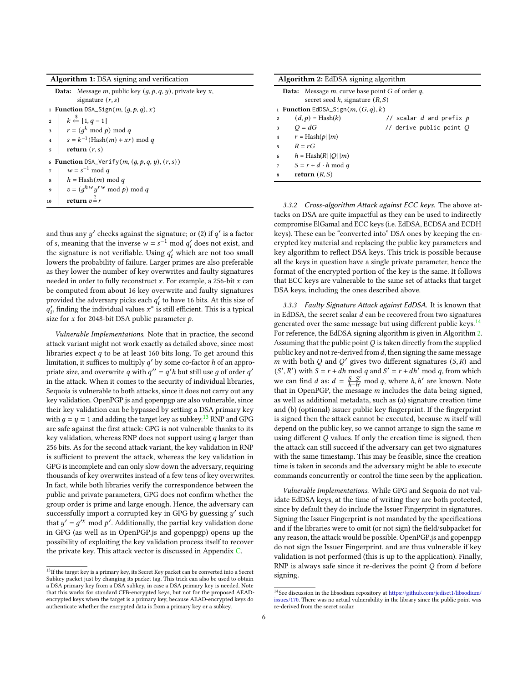Algorithm 1: DSA signing and verification

**Data:** Message  $m$ , public key  $(g, p, q, y)$ , private key  $x$ , signature  $(r, s)$ 1 Function DSA\_Sign( $m$ ,  $(q, p, q)$ , x)  $k \stackrel{\$}{\leftarrow} [1, q-1]$  $s \mid r = (g^k \mod p) \mod q$  $s = k^{-1}(\text{Hash}(m) + xr) \text{ mod } q$  $5$  return  $(r, s)$ 6 Function DSA\_Verify( $m, (g, p, q, y), (r, s)$ )  $\begin{array}{ccc} 7 & \vert & w = s^{-1} \bmod q \end{array}$  $\mathbf{s} \quad h = \text{Hash}(m) \text{ mod } q$ 9  $v = (g^{hw} y^{rw} \mod p) \mod q$ 10 return  $v = r$ 

<span id="page-5-0"></span>and thus any  $y'$  checks against the signature; or (2) if  $q'$  is a factor of s, meaning that the inverse  $w = s^{-1} \mod q'_i$  does not exist, and the signature is not verifiable. Using  $q'_i$  which are not too small lowers the probability of failure. Larger primes are also preferable as they lower the number of key overwrites and faulty signatures needed in order to fully reconstruct  $x$ . For example, a 256-bit  $x$  can be computed from about 16 key overwrite and faulty signatures provided the adversary picks each  $q^\prime_i$  to have 16 bits. At this size of  $q'_i$ , finding the individual values  $x^*$  is still efficient. This is a typical size for  $x$  for 2048-bit DSA public parameter  $p$ .

Vulnerable Implementations. Note that in practice, the second attack variant might not work exactly as detailed above, since most libraries expect  $q$  to be at least 160 bits long. To get around this limitation, it suffices to multiply  $q'$  by some co-factor h of an appropriate size, and overwrite q with  $q'' = q'h$  but still use g of order q' in the attack. When it comes to the security of individual libraries, Sequoia is vulnerable to both attacks, since it does not carry out any key validation. OpenPGP.js and gopenpgp are also vulnerable, since their key validation can be bypassed by setting a DSA primary key with  $q = y = 1$  and adding the target key as subkey.<sup>[13](#page-5-1)</sup> RNP and GPG are safe against the first attack: GPG is not vulnerable thanks to its key validation, whereas RNP does not support using  $q$  larger than 256 bits. As for the second attack variant, the key validation in RNP is sufficient to prevent the attack, whereas the key validation in GPG is incomplete and can only slow down the adversary, requiring thousands of key overwrites instead of a few tens of key overwrites. In fact, while both libraries verify the correspondence between the public and private parameters, GPG does not confirm whether the group order is prime and large enough. Hence, the adversary can successfully import a corrupted key in GPG by guessing  $y'$  such that  $y' = g'^{x} \mod p'$ . Additionally, the partial key validation done in GPG (as well as in OpenPGP.js and gopenpgp) opens up the possibility of exploiting the key validation process itself to recover the private key. This attack vector is discussed in Appendix [C.](#page-14-0)

|                | <b>Algorithm 2:</b> EdDSA signing algorithm                                                         |                              |  |  |  |  |
|----------------|-----------------------------------------------------------------------------------------------------|------------------------------|--|--|--|--|
|                | <b>Data:</b> Message $m$ , curve base point $G$ of order $q$ ,<br>secret seed k, signature $(R, S)$ |                              |  |  |  |  |
|                | 1 <b>Function</b> EdDSA_Sign( $m$ , $(G, q)$ , k)                                                   |                              |  |  |  |  |
| $\overline{2}$ | $(d, p)$ = Hash $(k)$                                                                               | // scalar $d$ and prefix $p$ |  |  |  |  |
| 3              | $Q = dG$                                                                                            | // derive public point $Q$   |  |  |  |  |
| $\overline{4}$ | $r = \text{Hash}(p  m)$                                                                             |                              |  |  |  |  |
| 5              | $R = rG$                                                                                            |                              |  |  |  |  |
| 6              | $h = \text{Hash}(R  Q  m)$                                                                          |                              |  |  |  |  |
| $\overline{7}$ | $S = r + d \cdot h \mod q$                                                                          |                              |  |  |  |  |
| 8              | return $(R, S)$                                                                                     |                              |  |  |  |  |

<span id="page-5-3"></span>3.3.2 Cross-algorithm Attack against ECC keys. The above attacks on DSA are quite impactful as they can be used to indirectly compromise ElGamal and ECC keys (i.e. EdDSA, ECDSA and ECDH keys). These can be "converted into" DSA ones by keeping the encrypted key material and replacing the public key parameters and key algorithm to reflect DSA keys. This trick is possible because all the keys in question have a single private parameter, hence the format of the encrypted portion of the key is the same. It follows that ECC keys are vulnerable to the same set of attacks that target DSA keys, including the ones described above.

3.3.3 Faulty Signature Attack against EdDSA. It is known that in EdDSA, the secret scalar  $d$  can be recovered from two signatures generated over the same message but using different public keys.<sup>[14](#page-5-2)</sup> For reference, the EdDSA signing algorithm is given in Algorithm [2.](#page-5-3) Assuming that the public point  $Q$  is taken directly from the supplied public key and not re-derived from  $d$ , then signing the same message m with both Q and Q' gives two different signatures  $(S, R)$  and  $(S', R')$  with  $S = r + dh \mod q$  and  $S' = r + dh' \mod q$ , from which we can find *d* as:  $d = \frac{S-S'}{h-h'} \mod q$ , where *h*, *h'* are known. Note that in OpenPGP, the message  $m$  includes the data being signed, as well as additional metadata, such as (a) signature creation time and (b) (optional) issuer public key fingerprint. If the fingerprint is signed then the attack cannot be executed, because  $m$  itself will depend on the public key, so we cannot arrange to sign the same  $m$ using different  $Q$  values. If only the creation time is signed, then the attack can still succeed if the adversary can get two signatures with the same timestamp. This may be feasible, since the creation time is taken in seconds and the adversary might be able to execute commands concurrently or control the time seen by the application.

Vulnerable Implementations. While GPG and Sequoia do not validate EdDSA keys, at the time of writing they are both protected, since by default they do include the Issuer Fingerprint in signatures. Signing the Issuer Fingerprint is not mandated by the specifications and if the libraries were to omit (or not sign) the field/subpacket for any reason, the attack would be possible. OpenPGP.js and gopenpgp do not sign the Issuer Fingerprint, and are thus vulnerable if key validation is not performed (this is up to the application). Finally, RNP is always safe since it re-derives the point  $Q$  from  $d$  before signing.

<span id="page-5-1"></span> $^{13}{\rm If}$  the target key is a primary key, its Secret Key packet can be converted into a Secret Subkey packet just by changing its packet tag. This trick can also be used to obtain a DSA primary key from a DSA subkey, in case a DSA primary key is needed. Note that this works for standard CFB-encrypted keys, but not for the proposed AEADencrypted keys when the target is a primary key, because AEAD-encrypted keys do authenticate whether the encrypted data is from a primary key or a subkey.

<span id="page-5-2"></span> $\overline{^{14} \text{See}}$  discussion in the libsodium repository at [https://github.com/jedisct1/libsodium/](https://github.com/jedisct1/libsodium/issues/170) [issues/170.](https://github.com/jedisct1/libsodium/issues/170) There was no actual vulnerability in the library since the public point was re-derived from the secret scalar.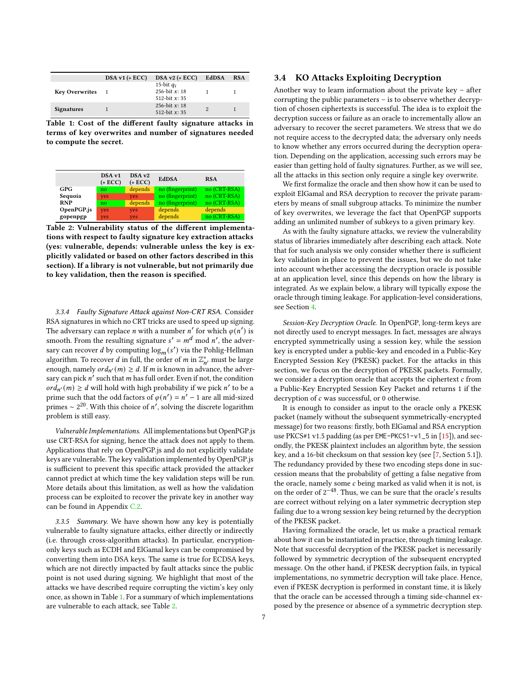<span id="page-6-0"></span>

|                       | $DSA v1 (+ ECC)$ | $DSA v2 (+ ECC)$                                   | EdDSA | <b>RSA</b> |
|-----------------------|------------------|----------------------------------------------------|-------|------------|
| <b>Key Overwrites</b> |                  | 15-bit $q_i$<br>256-bit $x: 18$<br>512-hit $x: 35$ |       |            |
| <b>Signatures</b>     |                  | 256-bit $x: 18$<br>512-bit $x: 35$                 |       |            |

Table 1: Cost of the different faulty signature attacks in terms of key overwrites and number of signatures needed to compute the secret.

<span id="page-6-1"></span>

|            | DSA v1<br>$(+$ ECC $)$ | DSA v <sub>2</sub><br>$(+$ ECC $)$ | <b>EdDSA</b>     | <b>RSA</b>   |
|------------|------------------------|------------------------------------|------------------|--------------|
| <b>GPG</b> | no                     | depends                            | no (fingerprint) | no (CRT-RSA) |
| Sequoia    | yes                    | yes                                | no (fingerprint) | no (CRT-RSA) |
| <b>RNP</b> | no                     | depends                            | no (fingerprint) | no (CRT-RSA) |
| OpenPGP.js | yes                    | yes                                | depends          | depends      |
| gopenpgp   | yes                    | yes                                | depends          | no (CRT-RSA) |

Table 2: Vulnerability status of the different implementations with respect to faulty signature key extraction attacks (yes: vulnerable, depends: vulnerable unless the key is explicitly validated or based on other factors described in this section). If a library is not vulnerable, but not primarily due to key validation, then the reason is specified.

<span id="page-6-2"></span>3.3.4 Faulty Signature Attack against Non-CRT RSA. Consider RSA signatures in which no CRT tricks are used to speed up signing. The adversary can replace *n* with a number *n'* for which  $\varphi(n')$  is smooth. From the resulting signature  $s' = m^d \mod n'$ , the adversary can recover *d* by computing  $\log_m(s')$  via the Pohlig-Hellman algorithm. To recover *d* in full, the order of *m* in  $\mathbb{Z}_n^*$ , must be large enough, namely  $\text{ord}_{n'}(m) \geq d$ . If m is known in advance, the adversary can pick  $n'$  such that  $m$  has full order. Even if not, the condition  $\langle ord_{n'}(m) \rangle \geq d$  will hold with high probability if we pick n' to be a prime such that the odd factors of  $\varphi(n') = n' - 1$  are all mid-sized primes ∼ 2<sup>20</sup>. With this choice of n', solving the discrete logarithm problem is still easy.

Vulnerable Implementations. All implementations but OpenPGP.js use CRT-RSA for signing, hence the attack does not apply to them. Applications that rely on OpenPGP.js and do not explicitly validate keys are vulnerable. The key validation implemented by OpenPGP.js is sufficient to prevent this specific attack provided the attacker cannot predict at which time the key validation steps will be run. More details about this limitation, as well as how the validation process can be exploited to recover the private key in another way can be found in Appendix [C.2.](#page-15-0)

3.3.5 Summary. We have shown how any key is potentially vulnerable to faulty signature attacks, either directly or indirectly (i.e. through cross-algorithm attacks). In particular, encryptiononly keys such as ECDH and ElGamal keys can be compromised by converting them into DSA keys. The same is true for ECDSA keys, which are not directly impacted by fault attacks since the public point is not used during signing. We highlight that most of the attacks we have described require corrupting the victim's key only once, as shown in Table [1.](#page-6-0) For a summary of which implementations are vulnerable to each attack, see Table [2.](#page-6-1)

#### 3.4 KO Attacks Exploiting Decryption

Another way to learn information about the private key – after corrupting the public parameters – is to observe whether decryption of chosen ciphertexts is successful. The idea is to exploit the decryption success or failure as an oracle to incrementally allow an adversary to recover the secret parameters. We stress that we do not require access to the decrypted data; the adversary only needs to know whether any errors occurred during the decryption operation. Depending on the application, accessing such errors may be easier than getting hold of faulty signatures. Further, as we will see, all the attacks in this section only require a single key overwrite.

We first formalize the oracle and then show how it can be used to exploit ElGamal and RSA decryption to recover the private parameters by means of small subgroup attacks. To minimize the number of key overwrites, we leverage the fact that OpenPGP supports adding an unlimited number of subkeys to a given primary key.

As with the faulty signature attacks, we review the vulnerability status of libraries immediately after describing each attack. Note that for such analysis we only consider whether there is sufficient key validation in place to prevent the issues, but we do not take into account whether accessing the decryption oracle is possible at an application level, since this depends on how the library is integrated. As we explain below, a library will typically expose the oracle through timing leakage. For application-level considerations, see Section [4.](#page-8-0)

Session-Key Decryption Oracle. In OpenPGP, long-term keys are not directly used to encrypt messages. In fact, messages are always encrypted symmetrically using a session key, while the session key is encrypted under a public-key and encoded in a Public-Key Encrypted Session Key (PKESK) packet. For the attacks in this section, we focus on the decryption of PKESK packets. Formally, we consider a decryption oracle that accepts the ciphertext  $c$  from a Public-Key Encrypted Session Key Packet and returns 1 if the decryption of  $c$  was successful, or 0 otherwise.

It is enough to consider as input to the oracle only a PKESK packet (namely without the subsequent symmetrically-encrypted message) for two reasons: firstly, both ElGamal and RSA encryption use PKCS#1 v1.5 padding (as per EME-PKCS1-v1\_5 in [\[15\]](#page-12-12)), and secondly, the PKESK plaintext includes an algorithm byte, the session key, and a 16-bit checksum on that session key (see [\[7,](#page-12-0) Section 5.1]). The redundancy provided by these two encoding steps done in succession means that the probability of getting a false negative from the oracle, namely some  $c$  being marked as valid when it is not, is on the order of  $2^{-48}$ . Thus, we can be sure that the oracle's results are correct without relying on a later symmetric decryption step failing due to a wrong session key being returned by the decryption of the PKESK packet.

Having formalized the oracle, let us make a practical remark about how it can be instantiated in practice, through timing leakage. Note that successful decryption of the PKESK packet is necessarily followed by symmetric decryption of the subsequent encrypted message. On the other hand, if PKESK decryption fails, in typical implementations, no symmetric decryption will take place. Hence, even if PKESK decryption is performed in constant time, it is likely that the oracle can be accessed through a timing side-channel exposed by the presence or absence of a symmetric decryption step.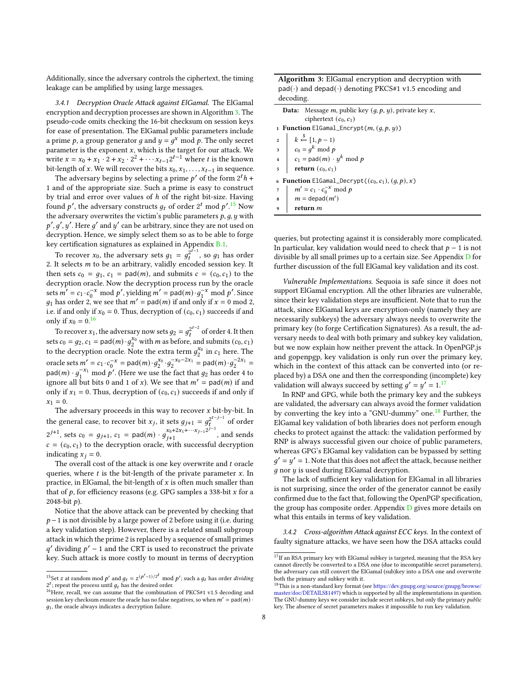Additionally, since the adversary controls the ciphertext, the timing leakage can be amplified by using large messages.

<span id="page-7-5"></span>3.4.1 Decryption Oracle Attack against ElGamal. The ElGamal encryption and decryption processes are shown in Algorithm [3.](#page-7-0) The pseudo-code omits checking the 16-bit checksum on session keys for ease of presentation. The ElGamal public parameters include a prime p, a group generator g and  $y = g^x \mod p$ . The only secret parameter is the exponent  $x$ , which is the target for our attack. We write  $x = x_0 + x_1 \cdot 2 + x_2 \cdot 2^2 + \cdots + x_{t-1} 2^{t-1}$  where t is the known bit-length of x. We will recover the bits  $x_0, x_1, \ldots, x_{t-1}$  in sequence.

The adversary begins by selecting a prime  $p'$  of the form  $2^t h$  + 1 and of the appropriate size. Such a prime is easy to construct by trial and error over values of h of the right bit-size. Having found p', the adversary constructs  $g_t$  of order 2<sup>t</sup> mod p'.<sup>[15](#page-7-1)</sup> Now the adversary overwrites the victim's public parameters  $p, q, y$  with  $p', g', y'$ . Here g' and y' can be arbitrary, since they are not used on decryption. Hence, we simply select them so as to be able to forge key certification signatures as explained in Appendix [B.1.](#page-13-0)

To recover  $x_0$ , the adversary sets  $g_1 = g_t^{2^{t-1}}$ , so  $g_1$  has order 2. It selects  $m$  to be an arbitrary, validly encoded session key. It then sets  $c_0 = g_1$ ,  $c_1 = \text{pad}(m)$ , and submits  $c = (c_0, c_1)$  to the decryption oracle. Now the decryption process run by the oracle sets  $m' = c_1 \cdot c_0^{-x} \mod p'$ , yielding  $m' = \text{pad}(m) \cdot g_1^{-x} \mod p'$ . Since  $g_1$  has order 2, we see that  $m' = \text{pad}(m)$  if and only if  $x = 0 \text{ mod } 2$ , i.e. if and only if  $x_0 = 0$ . Thus, decryption of  $(c_0, c_1)$  succeeds if and only if  $x_0 = 0.16$  $x_0 = 0.16$ 

To recover  $x_1$ , the adversary now sets  $g_2 = g_t^{2^{t-2}}$  of order 4. It then sets  $c_0 = g_2$ ,  $c_1 = \text{pad}(m) \cdot g_2^{x_0}$  with *m* as before, and submits ( $c_0$ ,  $c_1$ ) to the decryption oracle. Note the extra term  $g_2^{x_0}$  in  $c_1$  here. The oracle sets  $m' = c_1 \cdot c_0^{-x} = \text{pad}(m) \cdot g_2^{x_0} \cdot g_2^{-x_0-2x_1} = \text{pad}(m) \cdot g_2^{-2x_1} =$  $\text{pad}(m) \cdot g_1^{-x_1} \text{ mod } p'$ . (Here we use the fact that  $g_2$  has order 4 to ignore all but bits 0 and 1 of x). We see that  $m' = \text{pad}(m)$  if and only if  $x_1 = 0$ . Thus, decryption of  $(c_0, c_1)$  succeeds if and only if  $x_1 = 0.$ 

The adversary proceeds in this way to recover  $x$  bit-by-bit. In the general case, to recover bit  $x_j$ , it sets  $g_{j+1} = g_t^{2^{t-j-1}}$  of order  $2^{j+1}$ , sets  $c_0 = g_{j+1}$ ,  $c_1 = \text{pad}(m) \cdot g_{j+1}^{x_0+2x_1+\cdots x_{j-1}2^{j-1}}$  $j+1$ , and sends  $c = (c_0, c_1)$  to the decryption oracle, with successful decryption indicating  $x_i = 0$ .

The overall cost of the attack is one key overwrite and  $t$  oracle queries, where  $t$  is the bit-length of the private parameter  $x$ . In practice, in ElGamal, the bit-length of  $x$  is often much smaller than that of  $p$ , for efficiency reasons (e.g. GPG samples a 338-bit  $x$  for a 2048-bit  $p$ ).

Notice that the above attack can be prevented by checking that  $p-1$  is not divisible by a large power of 2 before using it (i.e. during a key validation step). However, there is a related small subgroup attack in which the prime 2 is replaced by a sequence of small primes  $q'$  dividing  $p' - 1$  and the CRT is used to reconstruct the private key. Such attack is more costly to mount in terms of decryption Algorithm 3: ElGamal encryption and decryption with  $pad(\cdot)$  and depad $(\cdot)$  denoting PKCS#1 v1.5 encoding and decoding.

|                                                                 | <b>Data:</b> Message <i>m</i> , public key $(q, p, y)$ , private key <i>x</i> ,                                                         |  |  |  |
|-----------------------------------------------------------------|-----------------------------------------------------------------------------------------------------------------------------------------|--|--|--|
|                                                                 | ciphertext $(c_0, c_1)$                                                                                                                 |  |  |  |
|                                                                 | 1 <b>Function</b> ElGamal_Encrypt( $m$ , $(q, p, y)$ )                                                                                  |  |  |  |
|                                                                 | 2 $k \leftarrow {s \choose 1, p-1}$<br>3 $c_0 = g^k \mod p$<br>4 $c_1 = \text{pad}(m) \cdot y^k \mod p$<br>5 <b>return</b> $(c_0, c_1)$ |  |  |  |
|                                                                 |                                                                                                                                         |  |  |  |
|                                                                 |                                                                                                                                         |  |  |  |
|                                                                 |                                                                                                                                         |  |  |  |
| <b>6 Function</b> ElGamal_Decrypt( $(c_0, c_1)$ , $(q, p)$ , x) |                                                                                                                                         |  |  |  |
|                                                                 |                                                                                                                                         |  |  |  |
|                                                                 | 7 $m' = c_1 \cdot c_0^{-x} \mod p$<br>8 $m = \text{depend}(m')$<br>9 <b>return</b> <i>m</i>                                             |  |  |  |
|                                                                 |                                                                                                                                         |  |  |  |
|                                                                 |                                                                                                                                         |  |  |  |

<span id="page-7-0"></span>queries, but protecting against it is considerably more complicated. In particular, key validation would need to check that  $p - 1$  is not divisible by all small primes up to a certain size. See Appendix [D](#page-16-0) for further discussion of the full ElGamal key validation and its cost.

Vulnerable Implementations. Sequoia is safe since it does not support ElGamal encryption. All the other libraries are vulnerable, since their key validation steps are insufficient. Note that to run the attack, since ElGamal keys are encryption-only (namely they are necessarily subkeys) the adversary always needs to overwrite the primary key (to forge Certification Signatures). As a result, the adversary needs to deal with both primary and subkey key validation, but we now explain how neither prevent the attack. In OpenPGP.js and gopenpgp, key validation is only run over the primary key, which in the context of this attack can be converted into (or replaced by) a DSA one and then the corresponding (incomplete) key validation will always succeed by setting  $g' = y' = 1^{17}$  $g' = y' = 1^{17}$  $g' = y' = 1^{17}$ 

In RNP and GPG, while both the primary key and the subkeys are validated, the adversary can always avoid the former validation by converting the key into a "GNU-dummy" one.<sup>[18](#page-7-4)</sup> Further, the ElGamal key validation of both libraries does not perform enough checks to protect against the attack: the validation performed by RNP is always successful given our choice of public parameters, whereas GPG's ElGamal key validation can be bypassed by setting  $g' = y' = 1$ . Note that this does not affect the attack, because neither  $q$  nor  $y$  is used during ElGamal decryption.

The lack of sufficient key validation for ElGamal in all libraries is not surprising, since the order of the generator cannot be easily confirmed due to the fact that, following the OpenPGP specification, the group has composite order. Appendix  $D$  gives more details on what this entails in terms of key validation.

3.4.2 Cross-algorithm Attack against ECC keys. In the context of faulty signature attacks, we have seen how the DSA attacks could

<span id="page-7-1"></span><sup>&</sup>lt;sup>15</sup>Set *z* at random mod  $p'$  and  $q_t = z^{(p'-1)/2^t} \mod p'$ ; such a  $q_t$  has order *dividing*  $2^t$ ; repeat the process until  $g_t$  has the desired order.

<span id="page-7-2"></span><sup>&</sup>lt;sup>16</sup>Here, recall, we can assume that the combination of PKCS#1 v1.5 decoding and session key checksum ensure the oracle has no false negatives, so when  $m' = \text{pad}(m)$  $q_1$ , the oracle always indicates a decryption failure.

<span id="page-7-3"></span> $^{17}{\rm If}$ an RSA primary key with ElGamal subkey is targeted, meaning that the RSA key cannot directly be converted to a DSA one (due to incompatible secret parameters), the adversary can still convert the ElGamal (sub)key into a DSA one and overwrite both the primary and subkey with it.

<span id="page-7-4"></span><sup>18</sup>This is a non-standard key format (see [https://dev.gnupg.org/source/gnupg/browse/](https://dev.gnupg.org/source/gnupg/browse/master/doc/DETAILS$1497) [master/doc/DETAILS\\$1497\)](https://dev.gnupg.org/source/gnupg/browse/master/doc/DETAILS$1497) which is supported by all the implementations in question. The GNU-dummy keys we consider include secret subkeys, but only the primary *public* key. The absence of secret parameters makes it impossible to run key validation.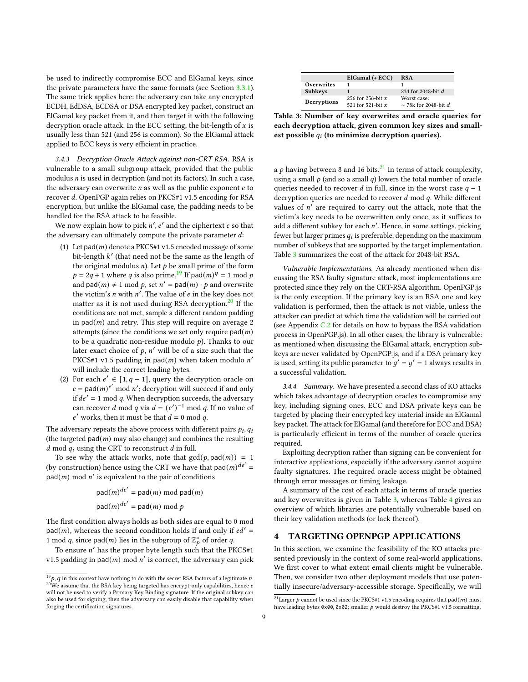be used to indirectly compromise ECC and ElGamal keys, since the private parameters have the same formats (see Section [3.3.1\)](#page-4-1). The same trick applies here: the adversary can take any encrypted ECDH, EdDSA, ECDSA or DSA encrypted key packet, construct an ElGamal key packet from it, and then target it with the following decryption oracle attack. In the ECC setting, the bit-length of  $x$  is usually less than 521 (and 256 is common). So the ElGamal attack applied to ECC keys is very efficient in practice.

<span id="page-8-5"></span>3.4.3 Decryption Oracle Attack against non-CRT RSA. RSA is vulnerable to a small subgroup attack, provided that the public modulus  $n$  is used in decryption (and not its factors). In such a case, the adversary can overwrite  $n$  as well as the public exponent  $e$  to recover d. OpenPGP again relies on PKCS#1 v1.5 encoding for RSA encryption, but unlike the ElGamal case, the padding needs to be handled for the RSA attack to be feasible.

We now explain how to pick  $n', e'$  and the ciphertext  $c$  so that the adversary can ultimately compute the private parameter  $d$ :

- (1) Let pad $(m)$  denote a PKCS#1 v1.5 encoded message of some bit-length  $k'$  (that need not be the same as the length of the original modulus  $n$ ). Let  $p$  be small prime of the form  $p = 2q + 1$  where q is also prime.<sup>[19](#page-8-1)</sup> If pad $(m)^q = 1$  mod p and pad $(m) \neq 1$  mod p, set  $n' =$  pad $(m) \cdot p$  and overwrite the victim's *n* with  $n'$ . The value of  $e$  in the key does not matter as it is not used during RSA decryption. $20$  If the conditions are not met, sample a different random padding in  $pad(m)$  and retry. This step will require on average 2 attempts (since the conditions we set only require  $pad(m)$ to be a quadratic non-residue modulo  $p$ ). Thanks to our later exact choice of  $p$ ,  $n'$  will be of a size such that the PKCS#1 v1.5 padding in pad(*m*) when taken modulo  $n'$ will include the correct leading bytes.
- (2) For each  $e' \in [1, q 1]$ , query the decryption oracle on  $c = pad(m)e^{i'} \mod n'$ ; decryption will succeed if and only if  $de' = 1$  mod q. When decryption succeeds, the adversary can recover d mod q via  $d = (e')^{-1}$  mod q. If no value of  $e'$  works, then it must be that  $d = 0$  mod  $q$ .

The adversary repeats the above process with different pairs  $p_i, q_i$ (the targeted  $pad(m)$  may also change) and combines the resulting d mod  $q_i$  using the CRT to reconstruct d in full.

To see why the attack works, note that  $gcd(p, pad(m)) = 1$ (by construction) hence using the CRT we have that  $pad(m)^{de'} =$  $pad(m) \text{ mod } n'$  is equivalent to the pair of conditions

> $\mathsf{pad}(m)^{de'} = \mathsf{pad}(m) \bmod \mathsf{pad}(m)$  $\operatorname{\mathsf{pad}}(m)^{de'} = \operatorname{\mathsf{pad}}(m) \bmod p$

The first condition always holds as both sides are equal to 0 mod  $pad(m)$ , whereas the second condition holds if and only if  $ed' =$ 1 mod q, since pad(m) lies in the subgroup of  $\mathbb{Z}_p^*$  of order q.

To ensure  $n'$  has the proper byte length such that the PKCS#1 v1.5 padding in pad $(m)$  mod n' is correct, the adversary can pick

<span id="page-8-4"></span>

|                   | ElGamal (+ ECC)                            | <b>RSA</b>                               |
|-------------------|--------------------------------------------|------------------------------------------|
| <b>Overwrites</b> |                                            |                                          |
| <b>Subkeys</b>    |                                            | 234 for 2048-bit $d$                     |
| Decryptions       | 256 for 256-bit $x$<br>521 for 521-bit $x$ | Worst case:<br>$\sim$ 78k for 2048-bit d |

Table 3: Number of key overwrites and oracle queries for each decryption attack, given common key sizes and smallest possible  $q_i$  (to minimize decryption queries).

a  $p$  having between 8 and 16 bits.<sup>[21](#page-8-3)</sup> In terms of attack complexity, using a small  $p$  (and so a small  $q$ ) lowers the total number of oracle queries needed to recover *d* in full, since in the worst case  $q - 1$ decryption queries are needed to recover  $d \mod q$ . While different values of  $n'$  are required to carry out the attack, note that the victim's key needs to be overwritten only once, as it suffices to add a different subkey for each  $n'$ . Hence, in some settings, picking fewer but larger primes  $q_i$  is preferable, depending on the maximum number of subkeys that are supported by the target implementation. Table [3](#page-8-4) summarizes the cost of the attack for 2048-bit RSA.

Vulnerable Implementations. As already mentioned when discussing the RSA faulty signature attack, most implementations are protected since they rely on the CRT-RSA algorithm. OpenPGP.js is the only exception. If the primary key is an RSA one and key validation is performed, then the attack is not viable, unless the attacker can predict at which time the validation will be carried out (see Appendix [C.2](#page-15-0) for details on how to bypass the RSA validation process in OpenPGP.js). In all other cases, the library is vulnerable: as mentioned when discussing the ElGamal attack, encryption subkeys are never validated by OpenPGP.js, and if a DSA primary key is used, setting its public parameter to  $g' = y' = 1$  always results in a successful validation.

3.4.4 Summary. We have presented a second class of KO attacks which takes advantage of decryption oracles to compromise any key, including signing ones. ECC and DSA private keys can be targeted by placing their encrypted key material inside an ElGamal key packet. The attack for ElGamal (and therefore for ECC and DSA) is particularly efficient in terms of the number of oracle queries required.

Exploiting decryption rather than signing can be convenient for interactive applications, especially if the adversary cannot acquire faulty signatures. The required oracle access might be obtained through error messages or timing leakage.

A summary of the cost of each attack in terms of oracle queries and key overwrites is given in Table [3,](#page-8-4) whereas Table [4](#page-9-0) gives an overview of which libraries are potentially vulnerable based on their key validation methods (or lack thereof).

#### <span id="page-8-0"></span>TARGETING OPENPGP APPLICATIONS

In this section, we examine the feasibility of the KO attacks presented previously in the context of some real-world applications. We first cover to what extent email clients might be vulnerable. Then, we consider two other deployment models that use potentially insecure/adversary-accessible storage. Specifically, we will

<span id="page-8-2"></span><span id="page-8-1"></span> $^{19}p$ ,  $q$  in this context have nothing to do with the secret RSA factors of a legitimate  $n$ .  $^{20}$ We assume that the RSA key being targeted has encrypt-only capabilities, hence  $e$ will not be used to verify a Primary Key Binding signature. If the original subkey can also be used for signing, then the adversary can easily disable that capability when forging the certification signatures.

<span id="page-8-3"></span> $^{21}\mathrm{Larger}$   $p$  cannot be used since the PKCS#1 v1.5 encoding requires that pad(  $m)$  must have leading bytes 0x00, 0x02; smaller  $p$  would destroy the PKCS#1 v1.5 formatting.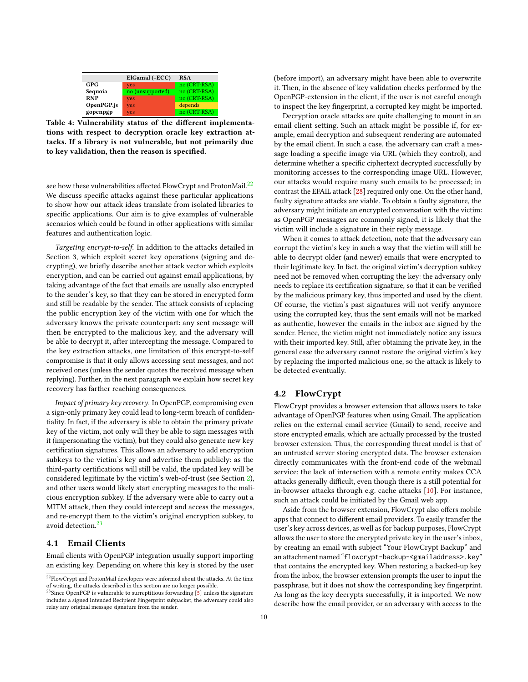<span id="page-9-0"></span>

|            | ElGamal (+ECC)   | <b>RSA</b>   |  |
|------------|------------------|--------------|--|
| <b>GPG</b> | ves              | no (CRT-RSA) |  |
| Sequoia    | no (unsupported) | no (CRT-RSA) |  |
| <b>RNP</b> | yes              | no (CRT-RSA) |  |
| OpenPGP.js | yes              | depends      |  |
| gopenpgp   | <b>ves</b>       | no (CRT-RSA) |  |

Table 4: Vulnerability status of the different implementations with respect to decryption oracle key extraction attacks. If a library is not vulnerable, but not primarily due to key validation, then the reason is specified.

see how these vulnerabilities affected FlowCrypt and ProtonMail.<sup>[22](#page-9-1)</sup> We discuss specific attacks against these particular applications to show how our attack ideas translate from isolated libraries to specific applications. Our aim is to give examples of vulnerable scenarios which could be found in other applications with similar features and authentication logic.

Targeting encrypt-to-self. In addition to the attacks detailed in Section 3, which exploit secret key operations (signing and decrypting), we briefly describe another attack vector which exploits encryption, and can be carried out against email applications, by taking advantage of the fact that emails are usually also encrypted to the sender's key, so that they can be stored in encrypted form and still be readable by the sender. The attack consists of replacing the public encryption key of the victim with one for which the adversary knows the private counterpart: any sent message will then be encrypted to the malicious key, and the adversary will be able to decrypt it, after intercepting the message. Compared to the key extraction attacks, one limitation of this encrypt-to-self compromise is that it only allows accessing sent messages, and not received ones (unless the sender quotes the received message when replying). Further, in the next paragraph we explain how secret key recovery has farther reaching consequences.

Impact of primary key recovery. In OpenPGP, compromising even a sign-only primary key could lead to long-term breach of confidentiality. In fact, if the adversary is able to obtain the primary private key of the victim, not only will they be able to sign messages with it (impersonating the victim), but they could also generate new key certification signatures. This allows an adversary to add encryption subkeys to the victim's key and advertise them publicly: as the third-party certifications will still be valid, the updated key will be considered legitimate by the victim's web-of-trust (see Section [2\)](#page-1-4), and other users would likely start encrypting messages to the malicious encryption subkey. If the adversary were able to carry out a MITM attack, then they could intercept and access the messages, and re-encrypt them to the victim's original encryption subkey, to avoid detection.<sup>[23](#page-9-2)</sup>

#### 4.1 Email Clients

Email clients with OpenPGP integration usually support importing an existing key. Depending on where this key is stored by the user (before import), an adversary might have been able to overwrite it. Then, in the absence of key validation checks performed by the OpenPGP-extension in the client, if the user is not careful enough to inspect the key fingerprint, a corrupted key might be imported.

Decryption oracle attacks are quite challenging to mount in an email client setting. Such an attack might be possible if, for example, email decryption and subsequent rendering are automated by the email client. In such a case, the adversary can craft a message loading a specific image via URL (which they control), and determine whether a specific ciphertext decrypted successfully by monitoring accesses to the corresponding image URL. However, our attacks would require many such emails to be processed; in contrast the EFAIL attack [\[28\]](#page-12-18) required only one. On the other hand, faulty signature attacks are viable. To obtain a faulty signature, the adversary might initiate an encrypted conversation with the victim: as OpenPGP messages are commonly signed, it is likely that the victim will include a signature in their reply message.

When it comes to attack detection, note that the adversary can corrupt the victim's key in such a way that the victim will still be able to decrypt older (and newer) emails that were encrypted to their legitimate key. In fact, the original victim's decryption subkey need not be removed when corrupting the key: the adversary only needs to replace its certification signature, so that it can be verified by the malicious primary key, thus imported and used by the client. Of course, the victim's past signatures will not verify anymore using the corrupted key, thus the sent emails will not be marked as authentic, however the emails in the inbox are signed by the sender. Hence, the victim might not immediately notice any issues with their imported key. Still, after obtaining the private key, in the general case the adversary cannot restore the original victim's key by replacing the imported malicious one, so the attack is likely to be detected eventually.

# 4.2 FlowCrypt

FlowCrypt provides a browser extension that allows users to take advantage of OpenPGP features when using Gmail. The application relies on the external email service (Gmail) to send, receive and store encrypted emails, which are actually processed by the trusted browser extension. Thus, the corresponding threat model is that of an untrusted server storing encrypted data. The browser extension directly communicates with the front-end code of the webmail service; the lack of interaction with a remote entity makes CCA attacks generally difficult, even though there is a still potential for in-browser attacks through e.g. cache attacks [\[10\]](#page-12-24). For instance, such an attack could be initiated by the Gmail web app.

Aside from the browser extension, FlowCrypt also offers mobile apps that connect to different email providers. To easily transfer the user's key across devices, as well as for backup purposes, FlowCrypt allows the user to store the encrypted private key in the user's inbox, by creating an email with subject "Your FlowCrypt Backup" and an attachment named "flowcrypt-backup-<gmailaddress>.key" that contains the encrypted key. When restoring a backed-up key from the inbox, the browser extension prompts the user to input the passphrase, but it does not show the corresponding key fingerprint. As long as the key decrypts successfully, it is imported. We now describe how the email provider, or an adversary with access to the

<span id="page-9-1"></span> $^{22}\rm{Flow}$  and ProtonMail developers were informed about the attacks. At the time of writing, the attacks described in this section are no longer possible.

<span id="page-9-2"></span> $^{23}$ Since OpenPGP is vulnerable to surreptitious forwarding [\[5\]](#page-12-23) unless the signature includes a signed Intended Recipient Fingerprint subpacket, the adversary could also relay any original message signature from the sender.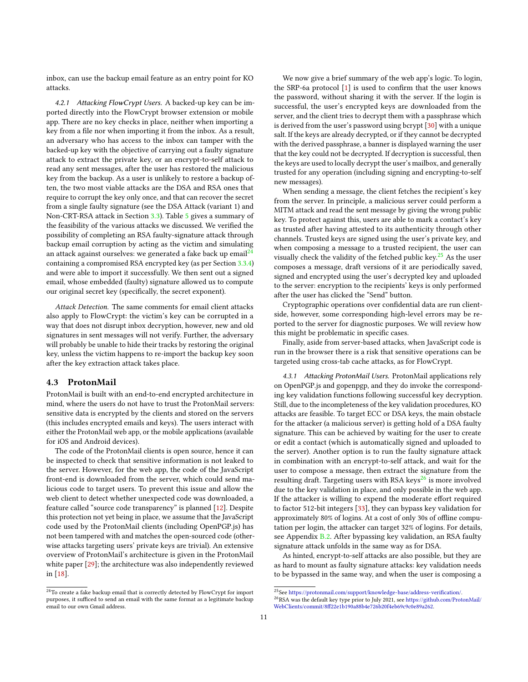inbox, can use the backup email feature as an entry point for KO attacks.

4.2.1 Attacking FlowCrypt Users. A backed-up key can be imported directly into the FlowCrypt browser extension or mobile app. There are no key checks in place, neither when importing a key from a file nor when importing it from the inbox. As a result, an adversary who has access to the inbox can tamper with the backed-up key with the objective of carrying out a faulty signature attack to extract the private key, or an encrypt-to-self attack to read any sent messages, after the user has restored the malicious key from the backup. As a user is unlikely to restore a backup often, the two most viable attacks are the DSA and RSA ones that require to corrupt the key only once, and that can recover the secret from a single faulty signature (see the DSA Attack (variant 1) and Non-CRT-RSA attack in Section [3.3\)](#page-4-2). Table [5](#page-11-3) gives a summary of the feasibility of the various attacks we discussed. We verified the possibility of completing an RSA faulty-signature attack through backup email corruption by acting as the victim and simulating an attack against ourselves: we generated a fake back up  $email<sup>24</sup>$  $email<sup>24</sup>$  $email<sup>24</sup>$ containing a compromised RSA encrypted key (as per Section [3.3.4\)](#page-6-2) and were able to import it successfully. We then sent out a signed email, whose embedded (faulty) signature allowed us to compute our original secret key (specifically, the secret exponent).

Attack Detection. The same comments for email client attacks also apply to FlowCrypt: the victim's key can be corrupted in a way that does not disrupt inbox decryption, however, new and old signatures in sent messages will not verify. Further, the adversary will probably be unable to hide their tracks by restoring the original key, unless the victim happens to re-import the backup key soon after the key extraction attack takes place.

#### <span id="page-10-3"></span>4.3 ProtonMail

ProtonMail is built with an end-to-end encrypted architecture in mind, where the users do not have to trust the ProtonMail servers: sensitive data is encrypted by the clients and stored on the servers (this includes encrypted emails and keys). The users interact with either the ProtonMail web app, or the mobile applications (available for iOS and Android devices).

The code of the ProtonMail clients is open source, hence it can be inspected to check that sensitive information is not leaked to the server. However, for the web app, the code of the JavaScript front-end is downloaded from the server, which could send malicious code to target users. To prevent this issue and allow the web client to detect whether unexpected code was downloaded, a feature called "source code transparency" is planned [\[12\]](#page-12-25). Despite this protection not yet being in place, we assume that the JavaScript code used by the ProtonMail clients (including OpenPGP.js) has not been tampered with and matches the open-sourced code (otherwise attacks targeting users' private keys are trivial). An extensive overview of ProtonMail's architecture is given in the ProtonMail white paper [\[29\]](#page-12-26); the architecture was also independently reviewed in [\[18\]](#page-12-27).

We now give a brief summary of the web app's logic. To login, the SRP-6a protocol [\[1\]](#page-11-4) is used to confirm that the user knows the password, without sharing it with the server. If the login is successful, the user's encrypted keys are downloaded from the server, and the client tries to decrypt them with a passphrase which is derived from the user's password using bcrypt [\[30\]](#page-12-28) with a unique salt. If the keys are already decrypted, or if they cannot be decrypted with the derived passphrase, a banner is displayed warning the user that the key could not be decrypted. If decryption is successful, then the keys are used to locally decrypt the user's mailbox, and generally trusted for any operation (including signing and encrypting-to-self new messages).

When sending a message, the client fetches the recipient's key from the server. In principle, a malicious server could perform a MITM attack and read the sent message by giving the wrong public key. To protect against this, users are able to mark a contact's key as trusted after having attested to its authenticity through other channels. Trusted keys are signed using the user's private key, and when composing a message to a trusted recipient, the user can visually check the validity of the fetched public key.<sup>[25](#page-10-1)</sup> As the user composes a message, draft versions of it are periodically saved, signed and encrypted using the user's decrypted key and uploaded to the server: encryption to the recipients' keys is only performed after the user has clicked the "Send" button.

Cryptographic operations over confidential data are run clientside, however, some corresponding high-level errors may be reported to the server for diagnostic purposes. We will review how this might be problematic in specific cases.

Finally, aside from server-based attacks, when JavaScript code is run in the browser there is a risk that sensitive operations can be targeted using cross-tab cache attacks, as for FlowCrypt.

4.3.1 Attacking ProtonMail Users. ProtonMail applications rely on OpenPGP.js and gopenpgp, and they do invoke the corresponding key validation functions following successful key decryption. Still, due to the incompleteness of the key validation procedures, KO attacks are feasible. To target ECC or DSA keys, the main obstacle for the attacker (a malicious server) is getting hold of a DSA faulty signature. This can be achieved by waiting for the user to create or edit a contact (which is automatically signed and uploaded to the server). Another option is to run the faulty signature attack in combination with an encrypt-to-self attack, and wait for the user to compose a message, then extract the signature from the resulting draft. Targeting users with RSA keys<sup>[26](#page-10-2)</sup> is more involved due to the key validation in place, and only possible in the web app. If the attacker is willing to expend the moderate effort required to factor 512-bit integers [\[33\]](#page-12-29), they can bypass key validation for approximately 80% of logins. At a cost of only 30s of offline computation per login, the attacker can target 32% of logins. For details, see Appendix [B.2.](#page-13-1) After bypassing key validation, an RSA faulty signature attack unfolds in the same way as for DSA.

As hinted, encrypt-to-self attacks are also possible, but they are as hard to mount as faulty signature attacks: key validation needs to be bypassed in the same way, and when the user is composing a

<span id="page-10-0"></span> $^{24}\mathrm{To}$  create a fake backup email that is correctly detected by FlowCrypt for import purposes, it sufficed to send an email with the same format as a legitimate backup email to our own Gmail address.

<span id="page-10-1"></span> $^{25}\mathrm{See}$ [https://protonmail.com/support/knowledge-base/address-verification/.](https://protonmail.com/support/knowledge-base/address-verification/)

<span id="page-10-2"></span> $^{26}\mathrm{RSA}$  was the default key type prior to July 2021, see [https://github.com/ProtonMail/](https://github.com/ProtonMail/WebClients/commit/8ff22e1b190a88b4e726b20f4eb69c9c0e89a262) [WebClients/commit/8ff22e1b190a88b4e726b20f4eb69c9c0e89a262.](https://github.com/ProtonMail/WebClients/commit/8ff22e1b190a88b4e726b20f4eb69c9c0e89a262)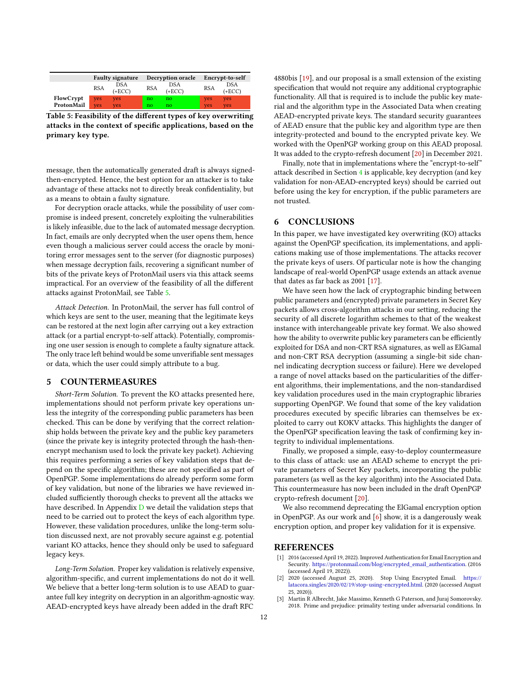<span id="page-11-3"></span>

|            | <b>Faulty signature</b> |                        | <b>Decryption oracle</b> |                 | Encrypt-to-self |                        |
|------------|-------------------------|------------------------|--------------------------|-----------------|-----------------|------------------------|
|            | <b>RSA</b>              | <b>DSA</b><br>$(+ECC)$ | <b>RSA</b>               | DSA<br>$(+ECC)$ | <b>RSA</b>      | <b>DSA</b><br>$(+ECC)$ |
| FlowCrypt  | <b>ves</b>              | <b>ves</b>             | no                       | no              | <b>ves</b>      | yes                    |
| ProtonMail | ves                     | ves                    | no                       | no              | <b>ves</b>      | <b>ves</b>             |

Table 5: Feasibility of the different types of key overwriting attacks in the context of specific applications, based on the primary key type.

message, then the automatically generated draft is always signedthen-encrypted. Hence, the best option for an attacker is to take advantage of these attacks not to directly break confidentiality, but as a means to obtain a faulty signature.

For decryption oracle attacks, while the possibility of user compromise is indeed present, concretely exploiting the vulnerabilities is likely infeasible, due to the lack of automated message decryption. In fact, emails are only decrypted when the user opens them, hence even though a malicious server could access the oracle by monitoring error messages sent to the server (for diagnostic purposes) when message decryption fails, recovering a significant number of bits of the private keys of ProtonMail users via this attack seems impractical. For an overview of the feasibility of all the different attacks against ProtonMail, see Table [5.](#page-11-3)

Attack Detection. In ProtonMail, the server has full control of which keys are sent to the user, meaning that the legitimate keys can be restored at the next login after carrying out a key extraction attack (or a partial encrypt-to-self attack). Potentially, compromising one user session is enough to complete a faulty signature attack. The only trace left behind would be some unverifiable sent messages or data, which the user could simply attribute to a bug.

#### <span id="page-11-1"></span>5 COUNTERMEASURES

Short-Term Solution. To prevent the KO attacks presented here, implementations should not perform private key operations unless the integrity of the corresponding public parameters has been checked. This can be done by verifying that the correct relationship holds between the private key and the public key parameters (since the private key is integrity protected through the hash-thenencrypt mechanism used to lock the private key packet). Achieving this requires performing a series of key validation steps that depend on the specific algorithm; these are not specified as part of OpenPGP. Some implementations do already perform some form of key validation, but none of the libraries we have reviewed included sufficiently thorough checks to prevent all the attacks we have described. In Appendix  $D$  we detail the validation steps that need to be carried out to protect the keys of each algorithm type. However, these validation procedures, unlike the long-term solution discussed next, are not provably secure against e.g. potential variant KO attacks, hence they should only be used to safeguard legacy keys.

Long-Term Solution. Proper key validation is relatively expensive, algorithm-specific, and current implementations do not do it well. We believe that a better long-term solution is to use AEAD to guarantee full key integrity on decryption in an algorithm-agnostic way. AEAD-encrypted keys have already been added in the draft RFC

4880bis [\[19\]](#page-12-7), and our proposal is a small extension of the existing specification that would not require any additional cryptographic functionality. All that is required is to include the public key material and the algorithm type in the Associated Data when creating AEAD-encrypted private keys. The standard security guarantees of AEAD ensure that the public key and algorithm type are then integrity-protected and bound to the encrypted private key. We worked with the OpenPGP working group on this AEAD proposal. It was added to the crypto-refresh document [\[20\]](#page-12-8) in December 2021.

Finally, note that in implementations where the "encrypt-to-self" attack described in Section [4](#page-8-0) is applicable, key decryption (and key validation for non-AEAD-encrypted keys) should be carried out before using the key for encryption, if the public parameters are not trusted.

#### <span id="page-11-2"></span>6 CONCLUSIONS

In this paper, we have investigated key overwriting (KO) attacks against the OpenPGP specification, its implementations, and applications making use of those implementations. The attacks recover the private keys of users. Of particular note is how the changing landscape of real-world OpenPGP usage extends an attack avenue that dates as far back as 2001 [\[17\]](#page-12-9).

We have seen how the lack of cryptographic binding between public parameters and (encrypted) private parameters in Secret Key packets allows cross-algorithm attacks in our setting, reducing the security of all discrete logarithm schemes to that of the weakest instance with interchangeable private key format. We also showed how the ability to overwrite public key parameters can be efficiently exploited for DSA and non-CRT RSA signatures, as well as ElGamal and non-CRT RSA decryption (assuming a single-bit side channel indicating decryption success or failure). Here we developed a range of novel attacks based on the particularities of the different algorithms, their implementations, and the non-standardised key validation procedures used in the main cryptographic libraries supporting OpenPGP. We found that some of the key validation procedures executed by specific libraries can themselves be exploited to carry out KOKV attacks. This highlights the danger of the OpenPGP specification leaving the task of confirming key integrity to individual implementations.

Finally, we proposed a simple, easy-to-deploy countermeasure to this class of attack: use an AEAD scheme to encrypt the private parameters of Secret Key packets, incorporating the public parameters (as well as the key algorithm) into the Associated Data. This countermeasure has now been included in the draft OpenPGP crypto-refresh document [\[20\]](#page-12-8).

We also recommend deprecating the ElGamal encryption option in OpenPGP. As our work and  $[6]$  show, it is a dangerously weak encryption option, and proper key validation for it is expensive.

#### REFERENCES

- <span id="page-11-4"></span>[1] 2016 (accessed April 19, 2022). Improved Authentication for Email Encryption and Security. [https://protonmail.com/blog/encrypted\\_email\\_authentication.](https://protonmail.com/blog/encrypted_email_authentication) (2016 (accessed April 19, 2022)).
- <span id="page-11-0"></span>[2] 2020 (accessed August 25, 2020). Stop Using Encrypted Email. [https://](https://latacora.singles/2020/02/19/stop-using-encrypted.html) [latacora.singles/2020/02/19/stop-using-encrypted.html.](https://latacora.singles/2020/02/19/stop-using-encrypted.html) (2020 (accessed August 25, 2020)).
- <span id="page-11-5"></span>[3] Martin R Albrecht, Jake Massimo, Kenneth G Paterson, and Juraj Somorovsky. 2018. Prime and prejudice: primality testing under adversarial conditions. In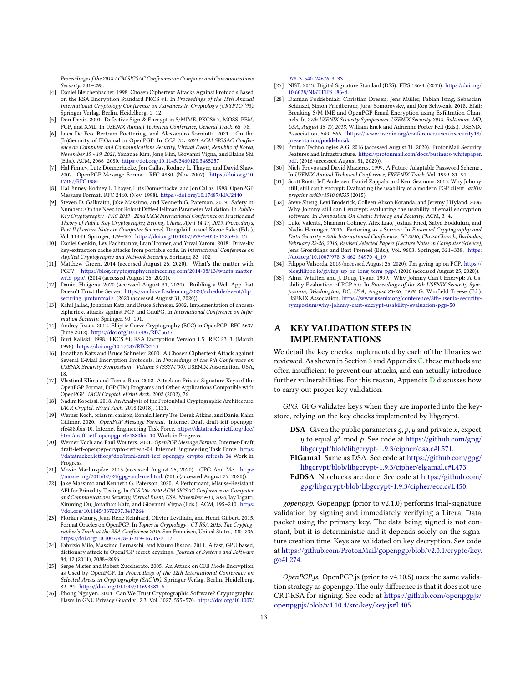Proceedings of the 2018 ACM SIGSAC Conference on Computer and Communications Security. 281–298.

- <span id="page-12-13"></span>[4] Daniel Bleichenbacher. 1998. Chosen Ciphertext Attacks Against Protocols Based on the RSA Encryption Standard PKCS #1. In Proceedings of the 18th Annual International Cryptology Conference on Advances in Cryptology (CRYPTO '98). Springer-Verlag, Berlin, Heidelberg, 1–12.
- <span id="page-12-23"></span>[5] Don Davis. 2001. Defective Sign & Encrypt in S/MIME, PKCS# 7, MOSS, PEM, PGP, and XML. In USENIX Annual Technical Conference, General Track. 65–78.
- <span id="page-12-19"></span>[6] Luca De Feo, Bertram Poettering, and Alessandro Sorniotti. 2021. On the (In)Security of ElGamal in OpenPGP. In CCS '21: 2021 ACM SIGSAC Conference on Computer and Communications Security, Virtual Event, Republic of Korea, November 15 - 19, 2021, Yongdae Kim, Jong Kim, Giovanni Vigna, and Elaine Shi (Eds.). ACM, 2066–2080. <https://doi.org/10.1145/3460120.3485257>
- <span id="page-12-0"></span>[7] Hal Finney, Lutz Donnerhacke, Jon Callas, Rodney L. Thayer, and David Shaw. 2007. OpenPGP Message Format. RFC 4880. (Nov. 2007). [https://doi.org/10.](https://doi.org/10.17487/RFC4880) [17487/RFC4880](https://doi.org/10.17487/RFC4880)
- <span id="page-12-20"></span>[8] Hal Finney, Rodney L. Thayer, Lutz Donnerhacke, and Jon Callas. 1998. OpenPGP Message Format. RFC 2440. (Nov. 1998). <https://doi.org/10.17487/RFC2440>
- <span id="page-12-30"></span>[9] Steven D. Galbraith, Jake Massimo, and Kenneth G. Paterson. 2019. Safety in Numbers: On the Need for Robust Diffie-Hellman Parameter Validation. In Public-Key Cryptography - PKC 2019 - 22nd IACR International Conference on Practice and Theory of Public-Key Cryptography, Beijing, China, April 14-17, 2019, Proceedings, Part II (Lecture Notes in Computer Science), Dongdai Lin and Kazue Sako (Eds.), Vol. 11443. Springer, 379–407. [https://doi.org/10.1007/978-3-030-17259-6\\_13](https://doi.org/10.1007/978-3-030-17259-6_13)
- <span id="page-12-24"></span>[10] Daniel Genkin, Lev Pachmanov, Eran Tromer, and Yuval Yarom. 2018. Drive-by key-extraction cache attacks from portable code. In International Conference on Applied Cryptography and Network Security. Springer, 83–102.
- <span id="page-12-2"></span>[11] Matthew Green. 2014 (accessed August 25, 2020). What's the matter with PGP? [https://blog.cryptographyengineering.com/2014/08/13/whats-matter](https://blog.cryptographyengineering.com/2014/08/13/whats-matter-with-pgp/)[with-pgp/.](https://blog.cryptographyengineering.com/2014/08/13/whats-matter-with-pgp/) (2014 (accessed August 25, 2020)).
- <span id="page-12-25"></span>[12] Daniel Huigens. 2020 (accessed August 31, 2020). Building a Web App that Doesn't Trust the Server. [https://archive.fosdem.org/2020/schedule/event/dip\\_](https://archive.fosdem.org/2020/schedule/event/dip_securing_protonmail/) [securing\\_protonmail/.](https://archive.fosdem.org/2020/schedule/event/dip_securing_protonmail/) (2020 (accessed August 31, 2020)).
- <span id="page-12-16"></span>[13] Kahil Jallad, Jonathan Katz, and Bruce Schneier. 2002. Implementation of chosenciphertext attacks against PGP and GnuPG. In International Conference on Information Security. Springer, 90–101.
- <span id="page-12-21"></span>[14] Andrey Jivsov. 2012. Elliptic Curve Cryptography (ECC) in OpenPGP. RFC 6637. (June 2012). <https://doi.org/10.17487/RFC6637>
- <span id="page-12-12"></span>[15] Burt Kaliski. 1998. PKCS #1: RSA Encryption Version 1.5. RFC 2313. (March 1998). <https://doi.org/10.17487/RFC2313>
- <span id="page-12-17"></span>[16] Jonathan Katz and Bruce Schneier. 2000. A Chosen Ciphertext Attack against Several E-Mail Encryption Protocols. In Proceedings of the 9th Conference on USENIX Security Symposium - Volume 9 (SSYM'00). USENIX Association, USA,
- <span id="page-12-9"></span>18. [17] Vlastimil Klíma and Tomas Rosa. 2002. Attack on Private Signature Keys of the OpenPGP Format, PGP (TM) Programs and Other Applications Compatible with OpenPGP. IACR Cryptol. ePrint Arch. 2002 (2002), 76.
- <span id="page-12-27"></span>[18] Nadim Kobeissi. 2018. An Analysis of the ProtonMail Cryptographic Architecture. IACR Cryptol. ePrint Arch. 2018 (2018), 1121.
- <span id="page-12-7"></span>[19] Werner Koch, brian m. carlson, Ronald Henry Tse, Derek Atkins, and Daniel Kahn Gillmor. 2020. OpenPGP Message Format. Internet-Draft draft-ietf-openpgprfc4880bis-10. Internet Engineering Task Force. [https://datatracker.ietf.org/doc/](https://datatracker.ietf.org/doc/html/draft-ietf-openpgp-rfc4880bis-10) [html/draft-ietf-openpgp-rfc4880bis-10](https://datatracker.ietf.org/doc/html/draft-ietf-openpgp-rfc4880bis-10) Work in Progress.
- <span id="page-12-8"></span>[20] Werner Koch and Paul Wouters. 2021. OpenPGP Message Format. Internet-Draft draft-ietf-openpgp-crypto-refresh-04. Internet Engineering Task Force. [https:](https://datatracker.ietf.org/doc/html/draft-ietf-openpgp-crypto-refresh-04) [//datatracker.ietf.org/doc/html/draft-ietf-openpgp-crypto-refresh-04](https://datatracker.ietf.org/doc/html/draft-ietf-openpgp-crypto-refresh-04) Work in Progress.
- <span id="page-12-3"></span>[21] Moxie Marlinspike. 2015 (accessed August 25, 2020). GPG And Me. [https:](https://moxie.org/2015/02/24/gpg-and-me.html) [//moxie.org/2015/02/24/gpg-and-me.html.](https://moxie.org/2015/02/24/gpg-and-me.html) (2015 (accessed August 25, 2020)).
- <span id="page-12-31"></span>[22] Jake Massimo and Kenneth G. Paterson. 2020. A Performant, Misuse-Resistant API for Primality Testing. In CCS '20: 2020 ACM SIGSAC Conference on Computer and Communications Security, Virtual Event, USA, November 9-13, 2020, Jay Ligatti, Xinming Ou, Jonathan Katz, and Giovanni Vigna (Eds.). ACM, 195–210. [https:](https://doi.org/10.1145/3372297.3417264) [//doi.org/10.1145/3372297.3417264](https://doi.org/10.1145/3372297.3417264)
- <span id="page-12-14"></span>[23] Florian Maury, Jean-Rene Reinhard, Olivier Levillain, and Henri Gilbert. 2015. Format Oracles on OpenPGP. In Topics in Cryptology - CT-RSA 2015, The Cryptographer's Track at the RSA Conference 2015. San Francisco, United States, 220–236. [https://doi.org/10.1007/978-3-319-16715-2\\_12](https://doi.org/10.1007/978-3-319-16715-2_12)
- <span id="page-12-10"></span>[24] Fabrizio Milo, Massimo Bernaschi, and Mauro Bisson. 2011. A fast, GPU based, dictionary attack to OpenPGP secret keyrings. Journal of Systems and Software 84, 12 (2011), 2088–2096.
- <span id="page-12-15"></span>[25] Serge Mister and Robert Zuccherato. 2005. An Attack on CFB Mode Encryption as Used by OpenPGP. In Proceedings of the 12th International Conference on Selected Areas in Cryptography (SAC'05). Springer-Verlag, Berlin, Heidelberg, 82–94. [https://doi.org/10.1007/11693383\\_6](https://doi.org/10.1007/11693383_6)
- <span id="page-12-11"></span>[26] Phong Nguyen. 2004. Can We Trust Cryptographic Software? Cryptographic Flaws in GNU Privacy Guard v1.2.3, Vol. 3027. 555–570. [https://doi.org/10.1007/](https://doi.org/10.1007/978-3-540-24676-3_33)

[978-3-540-24676-3\\_33](https://doi.org/10.1007/978-3-540-24676-3_33)

- <span id="page-12-22"></span>[27] NIST. 2013. Digital Signature Standard (DSS). FIPS 186-4. (2013). [https://doi.org/](https://doi.org/10.6028/NIST.FIPS.186-4) [10.6028/NIST.FIPS.186-4](https://doi.org/10.6028/NIST.FIPS.186-4)
- <span id="page-12-18"></span>[28] Damian Poddebniak, Christian Dresen, Jens Müller, Fabian Ising, Sebastian Schinzel, Simon Friedberger, Juraj Somorovsky, and Jörg Schwenk. 2018. Efail: Breaking S/M IME and OpenPGP Email Encryption using Exfiltration Channels. In 27th USENIX Security Symposium, USENIX Security 2018, Baltimore, MD, USA, August 15-17, 2018, William Enck and Adrienne Porter Felt (Eds.). USENIX Association, 549–566. [https://www.usenix.org/conference/usenixsecurity18/](https://www.usenix.org/conference/usenixsecurity18/presentation/poddebniak) [presentation/poddebniak](https://www.usenix.org/conference/usenixsecurity18/presentation/poddebniak)
- <span id="page-12-26"></span>[29] Proton Technologies A.G. 2016 (accessed August 31, 2020). ProtonMail Security Features and Infrastructure. [https://protonmail.com/docs/business-whitepaper.](https://protonmail.com/docs/business-whitepaper.pdf) [pdf.](https://protonmail.com/docs/business-whitepaper.pdf) (2016 (accessed August 31, 2020)).
- <span id="page-12-28"></span>Niels Provos and David Mazieres. 1999. A Future-Adaptable Password Scheme.. In USENIX Annual Technical Conference, FREENIX Track, Vol. 1999. 81–91.
- <span id="page-12-5"></span>[31] Scott Ruoti, Jeff Andersen, Daniel Zappala, and Kent Seamons. 2015. Why Johnny still, still can't encrypt: Evaluating the usability of a modern PGP client. arXiv preprint arXiv:1510.08555 (2015).
- <span id="page-12-6"></span>[32] Steve Sheng, Levi Broderick, Colleen Alison Koranda, and Jeremy J Hyland. 2006. Why Johnny still can't encrypt: evaluating the usability of email encryption software. In Symposium On Usable Privacy and Security. ACM, 3–4.
- <span id="page-12-29"></span>[33] Luke Valenta, Shaanan Cohney, Alex Liao, Joshua Fried, Satya Bodduluri, and Nadia Heninger. 2016. Factoring as a Service. In Financial Cryptography and Data Security - 20th International Conference, FC 2016, Christ Church, Barbados, February 22-26, 2016, Revised Selected Papers (Lecture Notes in Computer Science), Jens Grossklags and Bart Preneel (Eds.), Vol. 9603. Springer, 321–338. [https:](https://doi.org/10.1007/978-3-662-54970-4_19) [//doi.org/10.1007/978-3-662-54970-4\\_19](https://doi.org/10.1007/978-3-662-54970-4_19)
- <span id="page-12-4"></span>[34] Filippo Valsorda. 2016 (accessed August 25, 2020). I'm giving up on PGP. [https://](https://blog.filippo.io/giving-up-on-long-term-pgp/) [blog.filippo.io/giving-up-on-long-term-pgp/.](https://blog.filippo.io/giving-up-on-long-term-pgp/) (2016 (accessed August 25, 2020)). [35] Alma Whitten and J. Doug Tygar. 1999. Why Johnny Can't Encrypt: A Us-
- <span id="page-12-1"></span>ability Evaluation of PGP 5.0. In Proceedings of the 8th USENIX Security Symposium, Washington, DC, USA, August 23-26, 1999, G. Winfield Treese (Ed.). USENIX Association. [https://www.usenix.org/conference/8th-usenix-security](https://www.usenix.org/conference/8th-usenix-security-symposium/why-johnny-cant-encrypt-usability-evaluation-pgp-50)[symposium/why-johnny-cant-encrypt-usability-evaluation-pgp-50](https://www.usenix.org/conference/8th-usenix-security-symposium/why-johnny-cant-encrypt-usability-evaluation-pgp-50)

# A KEY VALIDATION STEPS IN IMPLEMENTATIONS

We detail the key checks implemented by each of the libraries we reviewed. As shown in Section [3](#page-3-0) and Appendix [C,](#page-14-0) these methods are often insufficient to prevent our attacks, and can actually introduce further vulnerabilities. For this reason, Appendix [D](#page-16-0) discusses how to carry out proper key validation.

GPG. GPG validates keys when they are imported into the keystore, relying on the key checks implemented by libgcrypt.

- **DSA** Given the public parameters  $g$ ,  $p$ ,  $y$  and private  $x$ , expect y to equal  $g^x$  mod p. See code at [https://github.com/gpg/](https://github.com/gpg/libgcrypt/blob/libgcrypt-1.9.3/cipher/dsa.c#L571) [libgcrypt/blob/libgcrypt-1.9.3/cipher/dsa.c#L571.](https://github.com/gpg/libgcrypt/blob/libgcrypt-1.9.3/cipher/dsa.c#L571)
- ElGamal Same as DSA. See code at [https://github.com/gpg/](https://github.com/gpg/libgcrypt/blob/libgcrypt-1.9.3/cipher/elgamal.c#L473) [libgcrypt/blob/libgcrypt-1.9.3/cipher/elgamal.c#L473.](https://github.com/gpg/libgcrypt/blob/libgcrypt-1.9.3/cipher/elgamal.c#L473)

EdDSA No checks are done. See code at [https://github.com/](https://github.com/gpg/libgcrypt/blob/libgcrypt-1.9.3/cipher/ecc.c#L450) [gpg/libgcrypt/blob/libgcrypt-1.9.3/cipher/ecc.c#L450.](https://github.com/gpg/libgcrypt/blob/libgcrypt-1.9.3/cipher/ecc.c#L450)

gopenpgp. Gopenpgp (prior to v2.1.0) performs trial-signature validation by signing and immediately verifying a Literal Data packet using the primary key. The data being signed is not constant, but it is deterministic and it depends solely on the signature creation time. Keys are validated on key decryption. See code at [https://github.com/ProtonMail/gopenpgp/blob/v2.0.1/crypto/key.](https://github.com/ProtonMail/gopenpgp/blob/v2.0.1/crypto/key.go#L274) [go#L274.](https://github.com/ProtonMail/gopenpgp/blob/v2.0.1/crypto/key.go#L274)

OpenPGP.js. OpenPGP.js (prior to v4.10.5) uses the same validation strategy as gopenpgp. The only difference is that it does not use CRT-RSA for signing. See code at [https://github.com/openpgpjs/](https://github.com/openpgpjs/openpgpjs/blob/v4.10.4/src/key/key.js#L405) [openpgpjs/blob/v4.10.4/src/key/key.js#L405.](https://github.com/openpgpjs/openpgpjs/blob/v4.10.4/src/key/key.js#L405)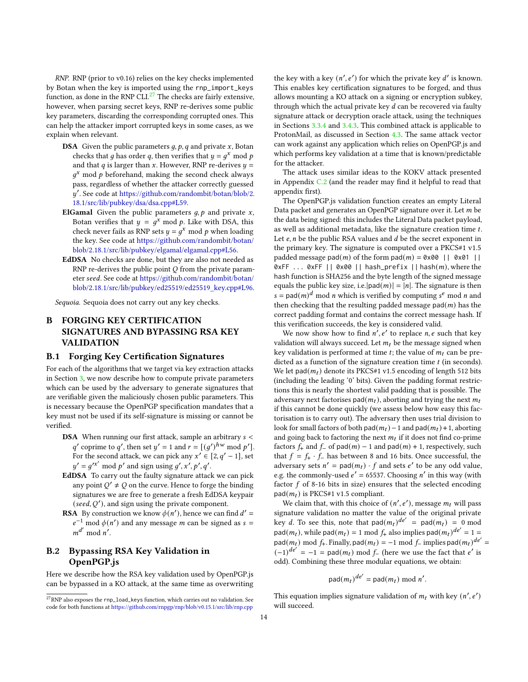RNP. RNP (prior to v0.16) relies on the key checks implemented by Botan when the key is imported using the rnp\_import\_keys function, as done in the RNP CLI. $^{27}$  $^{27}$  $^{27}$  The checks are fairly extensive, however, when parsing secret keys, RNP re-derives some public key parameters, discarding the corresponding corrupted ones. This can help the attacker import corrupted keys in some cases, as we explain when relevant.

- **DSA** Given the public parameters  $q$ ,  $p$ ,  $q$  and private  $x$ , Botan checks that g has order q, then verifies that  $y = g^x \mod p$ and that  $q$  is larger than  $x.$  However, RNP re-derives  $\boldsymbol{y} =$  $g^x$  mod p beforehand, making the second check always pass, regardless of whether the attacker correctly guessed ′ . See code at [https://github.com/randombit/botan/blob/2.](https://github.com/randombit/botan/blob/2.18.1/src/lib/pubkey/dsa/dsa.cpp#L59) [18.1/src/lib/pubkey/dsa/dsa.cpp#L59.](https://github.com/randombit/botan/blob/2.18.1/src/lib/pubkey/dsa/dsa.cpp#L59)
- **ElGamal** Given the public parameters  $g, p$  and private  $x$ , Botan verifies that  $y = g^x \mod p$ . Like with DSA, this check never fails as RNP sets  $y = g^x$  mod p when loading the key. See code at [https://github.com/randombit/botan/](https://github.com/randombit/botan/blob/2.18.1/src/lib/pubkey/elgamal/elgamal.cpp#L56) [blob/2.18.1/src/lib/pubkey/elgamal/elgamal.cpp#L56.](https://github.com/randombit/botan/blob/2.18.1/src/lib/pubkey/elgamal/elgamal.cpp#L56)
- EdDSA No checks are done, but they are also not needed as RNP re-derives the public point  $Q$  from the private parameter seed. See code at [https://github.com/randombit/botan/](https://github.com/randombit/botan/blob/2.18.1/src/lib/pubkey/ed25519/ed25519_key.cpp#L96) [blob/2.18.1/src/lib/pubkey/ed25519/ed25519\\_key.cpp#L96.](https://github.com/randombit/botan/blob/2.18.1/src/lib/pubkey/ed25519/ed25519_key.cpp#L96)

Sequoia. Sequoia does not carry out any key checks.

# B FORGING KEY CERTIFICATION SIGNATURES AND BYPASSING RSA KEY VALIDATION

#### <span id="page-13-0"></span>B.1 Forging Key Certification Signatures

For each of the algorithms that we target via key extraction attacks in Section [3,](#page-3-0) we now describe how to compute private parameters which can be used by the adversary to generate signatures that are verifiable given the maliciously chosen public parameters. This is necessary because the OpenPGP specification mandates that a key must not be used if its self-signature is missing or cannot be verified.

- **DSA** When running our first attack, sample an arbitrary  $s <$ q' coprime to q', then set  $y' = 1$  and  $r = [(g')^{hw} \mod p']$ . For the second attack, we can pick any  $x' \in [2, q' - 1]$ , set  $y' = g'x' \bmod p'$  and sign using  $g', x', p', q'$ .
- EdDSA To carry out the faulty signature attack we can pick any point  $Q' \neq Q$  on the curve. Hence to forge the binding signatures we are free to generate a fresh EdDSA keypair (seed,  $Q'$ ), and sign using the private component.
- **RSA** By construction we know  $\phi(n')$ , hence we can find  $d' =$  $e^{-1}$  mod  $\phi(n')$  and any message *m* can be signed as *s* =  $m^{d'} \mod n'$ .

# <span id="page-13-1"></span>B.2 Bypassing RSA Key Validation in OpenPGP.js

Here we describe how the RSA key validation used by OpenPGP.js can be bypassed in a KO attack, at the same time as overwriting

the key with a key  $(n', e')$  for which the private key  $d'$  is known. This enables key certification signatures to be forged, and thus allows mounting a KO attack on a signing or encryption subkey, through which the actual private key  $d$  can be recovered via faulty signature attack or decryption oracle attack, using the techniques in Sections [3.3.4](#page-6-2) and [3.4.3.](#page-8-5) This combined attack is applicable to ProtonMail, as discussed in Section [4.3.](#page-10-3) The same attack vector can work against any application which relies on OpenPGP.js and which performs key validation at a time that is known/predictable for the attacker.

The attack uses similar ideas to the KOKV attack presented in Appendix [C.2](#page-15-0) (and the reader may find it helpful to read that appendix first).

The OpenPGP.js validation function creates an empty Literal Data packet and generates an OpenPGP signature over it. Let  $m$  be the data being signed: this includes the Literal Data packet payload, as well as additional metadata, like the signature creation time t. Let  $e, n$  be the public RSA values and  $d$  be the secret exponent in the primary key. The signature is computed over a PKCS#1 v1.5 padded message pad(*m*) of the form pad(*m*) = 0x00 || 0x01 || 0xFF ... 0xFF || 0x00 || hash\_prefix || hash $(m)$ , where the hash function is SHA256 and the byte length of the signed message equals the public key size, i.e.  $|pad(m)| = |n|$ . The signature is then  $s =$  pad( $m$ )<sup>d</sup> mod *n* which is verified by computing  $s^e$  mod *n* and then checking that the resulting padded message  $pad(m)$  has the correct padding format and contains the correct message hash. If this verification succeeds, the key is considered valid.

We now show how to find  $n', e'$  to replace  $n, e$  such that key validation will always succeed. Let  $m_t$  be the message signed when key validation is performed at time  $t$ ; the value of  $m_t$  can be predicted as a function of the signature creation time  $t$  (in seconds). We let pad( $m_t$ ) denote its PKCS#1 v1.5 encoding of length 512 bits (including the leading '0' bits). Given the padding format restrictions this is nearly the shortest valid padding that is possible. The adversary next factorises  $pad(m_t)$ , aborting and trying the next  $m_t$ if this cannot be done quickly (we assess below how easy this factorisation is to carry out). The adversary then uses trial division to look for small factors of both pad $(m_t)$  – 1 and pad $(m_t)$  + 1, aborting and going back to factoring the next  $m_t$  if it does not find co-prime factors  $f_+$  and  $f_-$  of pad $(m) - 1$  and pad $(m) + 1$ , respectively, such that  $f = f_+ \cdot f_-$  has between 8 and 16 bits. Once successful, the adversary sets  $n' = pad(m_t) \cdot f$  and sets  $e'$  to be any odd value, e.g. the commonly-used  $e' = 65537$ . Choosing n' in this way (with factor  $f$  of 8-16 bits in size) ensures that the selected encoding  $pad(m_t)$  is PKCS#1 v1.5 compliant.

We claim that, with this choice of  $(n', e')$ , message  $m_t$  will pass signature validation no matter the value of the original private key d. To see this, note that  $pad(m_t)^{de'} = pad(m_t) = 0 \mod 1$  $pad(m_t)$ , while  $pad(m_t) = 1 \mod f_+$  also implies  $pad(m_t)^{de'} = 1 =$  $p$ ad $(m_t)$  mod  $f_t$ . Finally, pad $(m_t) = -1$  mod  $f_t$  implies pad $(m_t)^{de'} =$  $(-1)^{de'} = -1 =$  pad $(m_t)$  mod  $f$  (here we use the fact that e' is odd). Combining these three modular equations, we obtain:

$$
pad(m_t)^{de'} = pad(m_t) \bmod n'.
$$

This equation implies signature validation of  $m_t$  with key  $(n', e')$ will succeed.

<span id="page-13-2"></span> $^{27}\rm RNP$  also exposes the <code>rnp\_load\_keys</code> function, which carries out no validation. See code for both functions at <https://github.com/rnpgp/rnp/blob/v0.15.1/src/lib/rnp.cpp>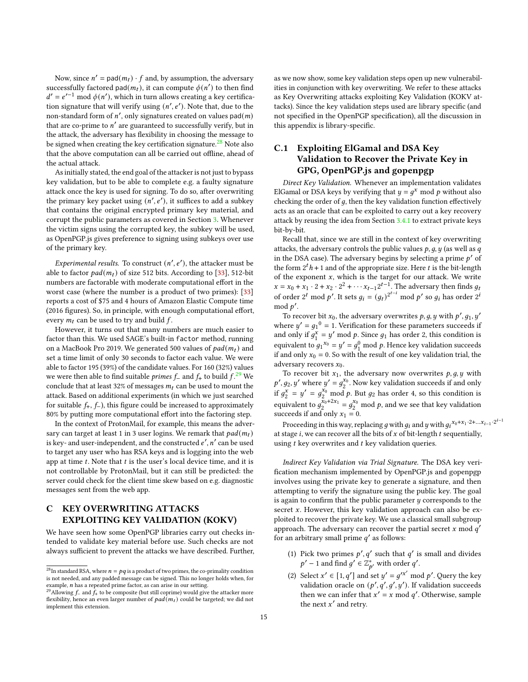Now, since  $n' = pad(m_t) \cdot f$  and, by assumption, the adversary successfully factored pad $(m_t)$ , it can compute  $\phi(n')$  to then find  $d' = e'^{-1} \mod \phi(n')$ , which in turn allows creating a key certification signature that will verify using  $(n', e')$ . Note that, due to the non-standard form of  $n'$ , only signatures created on values pad $(m)$ that are co-prime to  $n'$  are guaranteed to successfully verify, but in the attack, the adversary has flexibility in choosing the message to be signed when creating the key certification signature.<sup>[28](#page-14-1)</sup> Note also that the above computation can all be carried out offline, ahead of the actual attack.

As initially stated, the end goal of the attacker is not just to bypass key validation, but to be able to complete e.g. a faulty signature attack once the key is used for signing. To do so, after overwriting the primary key packet using  $(n', e')$ , it suffices to add a subkey that contains the original encrypted primary key material, and corrupt the public parameters as covered in Section [3.](#page-3-0) Whenever the victim signs using the corrupted key, the subkey will be used, as OpenPGP.js gives preference to signing using subkeys over use of the primary key.

Experimental results. To construct  $(n', e')$ , the attacker must be able to factor  $pad(m_t)$  of size 512 bits. According to [\[33\]](#page-12-29), 512-bit numbers are factorable with moderate computational effort in the worst case (where the number is a product of two primes): [\[33\]](#page-12-29) reports a cost of \$75 and 4 hours of Amazon Elastic Compute time (2016 figures). So, in principle, with enough computational effort, every  $m_t$  can be used to try and build  $f$ .

However, it turns out that many numbers are much easier to factor than this. We used SAGE's built-in factor method, running on a MacBook Pro 2019. We generated 500 values of  $pad(m_t)$  and set a time limit of only 30 seconds to factor each value. We were able to factor 195 (39%) of the candidate values. For 160 (32%) values we were then able to find suitable *primes f\_* and  $f_{+}$  to build  $f^{29}$  $f^{29}$  $f^{29}$  We conclude that at least 32% of messages  $m_t$  can be used to mount the attack. Based on additional experiments (in which we just searched for suitable  $f_{+}$ ,  $f_{-}$ ), this figure could be increased to approximately 80% by putting more computational effort into the factoring step.

In the context of ProtonMail, for example, this means the adversary can target at least 1 in 3 user logins. We remark that  $pad(m_t)$ is key- and user-independent, and the constructed  $e'$ ,  $n'$  can be used to target any user who has RSA keys and is logging into the web app at time  $t$ . Note that  $t$  is the user's local device time, and it is not controllable by ProtonMail, but it can still be predicted: the server could check for the client time skew based on e.g. diagnostic messages sent from the web app.

# <span id="page-14-0"></span>C KEY OVERWRITING ATTACKS EXPLOITING KEY VALIDATION (KOKV)

We have seen how some OpenPGP libraries carry out checks intended to validate key material before use. Such checks are not always sufficient to prevent the attacks we have described. Further, as we now show, some key validation steps open up new vulnerabilities in conjunction with key overwriting. We refer to these attacks as Key Overwriting attacks exploiting Key Validation (KOKV attacks). Since the key validation steps used are library specific (and not specified in the OpenPGP specification), all the discussion in this appendix is library-specific.

# C.1 Exploiting ElGamal and DSA Key Validation to Recover the Private Key in GPG, OpenPGP.js and gopenpgp

Direct Key Validation. Whenever an implementation validates ElGamal or DSA keys by verifying that  $y = g^x$  mod p without also checking the order of  $q$ , then the key validation function effectively acts as an oracle that can be exploited to carry out a key recovery attack by reusing the idea from Section [3.4.1](#page-7-5) to extract private keys bit-by-bit.

Recall that, since we are still in the context of key overwriting attacks, the adversary controls the public values  $p$ ,  $q$ ,  $y$  (as well as  $q$ in the DSA case). The adversary begins by selecting a prime  $p'$  of the form  $2^t h + 1$  and of the appropriate size. Here t is the bit-length of the exponent  $x$ , which is the target for our attack. We write  $x = x_0 + x_1 \cdot 2 + x_2 \cdot 2^2 + \cdots + x_{t-1} 2^{t-1}$ . The adversary then finds  $g_t$ of order 2<sup>*t*</sup> mod p'. It sets  $g_i = (g_t)^{2^{t-i}}$  mod p' so  $g_i$  has order 2<sup>*i*</sup>  $\mod p'$ .

To recover bit  $x_0$ , the adversary overwrites  $p, g, y$  with  $p', g_1, y'$ where  $y' = g_1^0 = 1$ . Verification for these parameters succeeds if and only if  $g_1^x$  $y_1^x = y' \mod p$ . Since  $g_1$  has order 2, this condition is equivalent to  $g_1^{x_0} = y' = g_1^0 \text{ mod } p$ . Hence key validation succeeds if and only  $x_0 = 0$ . So with the result of one key validation trial, the adversary recovers  $x_0$ .

To recover bit  $x_1$ , the adversary now overwrites  $p, g, y$  with  $p', g_2, y'$  where  $y' = g_2^{x_0}$ . Now key validation succeeds if and only if  $g_2^x$  $\frac{x}{2}$  =  $y' = g_2^{x_0}$  mod p. But  $g_2$  has order 4, so this condition is equivalent to  $g_2^{x_0+2x_1} = g_2^{x_0}$  mod p, and we see that key validation succeeds if and only  $x_1 = 0$ .

Proceeding in this way, replacing g with  $g_i$  and y with  $g_i^{x_0 + x_1 \cdot 2 + ... x_{i-1} \cdot 2^{i-1}}$ at stage *i*, we can recover all the bits of  $x$  of bit-length  $t$  sequentially, using  $t$  key overwrites and  $t$  key validation queries.

Indirect Key Validation via Trial Signature. The DSA key verification mechanism implemented by OpenPGP.js and gopenpgp involves using the private key to generate a signature, and then attempting to verify the signature using the public key. The goal is again to confirm that the public parameter  $y$  corresponds to the secret  $x$ . However, this key validation approach can also be exploited to recover the private key. We use a classical small subgroup approach. The adversary can recover the partial secret x mod  $q'$ for an arbitrary small prime  $q'$  as follows:

- (1) Pick two primes  $p', q'$  such that  $q'$  is small and divides  $p' - 1$  and find  $g' \in \mathbb{Z}_{p'}^*$  with order  $q'$ .
- (2) Select  $x' \in [1, q']$  and set  $y' = g'^{x'}$  mod p'. Query the key validation oracle on  $(p', q', g', y')$ . If validation succeeds then we can infer that  $x' = x \mod q'$ . Otherwise, sample the next  $x'$  and retry.

<span id="page-14-1"></span> $^{28}{\rm In\, standard\, RSA},$  where  $n=pq$  is a product of two primes, the co-primality condition is not needed, and any padded message can be signed. This no longer holds when, for example,  $n$  has a repeated prime factor, as can arise in our setting.

<span id="page-14-2"></span><sup>&</sup>lt;sup>29</sup>Allowing  $f_-$  and  $f_+$  to be composite (but still coprime) would give the attacker more flexibility, hence an even larger number of  $pad(m_t)$  could be targeted; we did not implement this extension.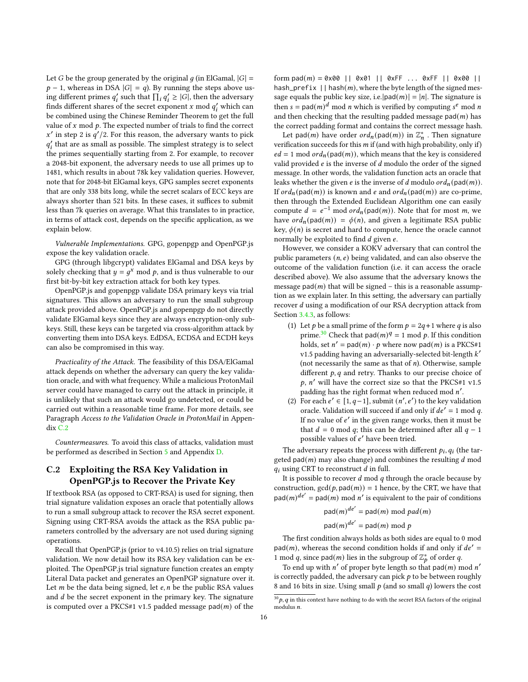Let G be the group generated by the original  $q$  (in ElGamal,  $|G|$  =  $p - 1$ , whereas in DSA  $|G| = q$ ). By running the steps above using different primes  $q'_i$  such that  $\prod_i q'_i \geq |G|$ , then the adversary finds different shares of the secret exponent x mod  $q'_i$  which can be combined using the Chinese Reminder Theorem to get the full value of  $x \mod p$ . The expected number of trials to find the correct x' in step 2 is  $q'/2$ . For this reason, the adversary wants to pick  $q'_{i}$  that are as small as possible. The simplest strategy is to select the primes sequentially starting from 2. For example, to recover a 2048-bit exponent, the adversary needs to use all primes up to 1481, which results in about 78k key validation queries. However, note that for 2048-bit ElGamal keys, GPG samples secret exponents that are only 338 bits long, while the secret scalars of ECC keys are always shorter than 521 bits. In these cases, it suffices to submit less than 7k queries on average. What this translates to in practice, in terms of attack cost, depends on the specific application, as we explain below.

Vulnerable Implementations. GPG, gopenpgp and OpenPGP.js expose the key validation oracle.

GPG (through libgcrypt) validates ElGamal and DSA keys by solely checking that  $y = g^x$  mod p, and is thus vulnerable to our first bit-by-bit key extraction attack for both key types.

OpenPGP.js and gopenpgp validate DSA primary keys via trial signatures. This allows an adversary to run the small subgroup attack provided above. OpenPGP.js and gopenpgp do not directly validate ElGamal keys since they are always encryption-only subkeys. Still, these keys can be targeted via cross-algorithm attack by converting them into DSA keys. EdDSA, ECDSA and ECDH keys can also be compromised in this way.

Practicality of the Attack. The feasibility of this DSA/ElGamal attack depends on whether the adversary can query the key validation oracle, and with what frequency. While a malicious ProtonMail server could have managed to carry out the attack in principle, it is unlikely that such an attack would go undetected, or could be carried out within a reasonable time frame. For more details, see Paragraph Access to the Validation Oracle in ProtonMail in Appen- $div C.2$  $div C.2$ 

Countermeasures. To avoid this class of attacks, validation must be performed as described in Section [5](#page-11-1) and Appendix [D.](#page-16-0)

## <span id="page-15-0"></span>C.2 Exploiting the RSA Key Validation in OpenPGP.js to Recover the Private Key

If textbook RSA (as opposed to CRT-RSA) is used for signing, then trial signature validation exposes an oracle that potentially allows to run a small subgroup attack to recover the RSA secret exponent. Signing using CRT-RSA avoids the attack as the RSA public parameters controlled by the adversary are not used during signing operations.

Recall that OpenPGP.js (prior to v4.10.5) relies on trial signature validation. We now detail how its RSA key validation can be exploited. The OpenPGP.js trial signature function creates an empty Literal Data packet and generates an OpenPGP signature over it. Let  $m$  be the data being signed, let  $e, n$  be the public RSA values and  $d$  be the secret exponent in the primary key. The signature is computed over a PKCS#1 v1.5 padded message pad $(m)$  of the

form pad(m) = 0x00 || 0x01 || 0xFF ... 0xFF || 0x00 || hash\_prefix  $||$  hash $(m)$ , where the byte length of the signed message equals the public key size, i.e.  $|pad(m)| = |n|$ . The signature is then  $s = pad(m)^d$  mod *n* which is verified by computing  $s^e$  mod *n* and then checking that the resulting padded message pad $(m)$  has the correct padding format and contains the correct message hash.

Let pad(m) have order  $ord_n(pad(m))$  in  $\mathbb{Z}_n^*$  . Then signature verification succeeds for this  $m$  if (and with high probability, only if)  $ed = 1$  mod  $\text{ord}_n(\text{pad}(m))$ , which means that the key is considered valid provided  $e$  is the inverse of  $d$  modulo the order of the signed message. In other words, the validation function acts an oracle that leaks whether the given *e* is the inverse of *d* modulo  $\text{ord}_n(\text{pad}(m))$ . If  $\text{ord}_n(\text{pad}(m))$  is known and e and  $\text{ord}_n(\text{pad}(m))$  are co-prime, then through the Extended Euclidean Algorithm one can easily compute  $d = e^{-1} \mod ord_n(\text{pad}(m))$ . Note that for most m, we have  $\text{ord}_n(\text{pad}(m)) = \phi(n)$ , and given a legitimate RSA public key,  $\phi(n)$  is secret and hard to compute, hence the oracle cannot normally be exploited to find  $d$  given  $e$ .

However, we consider a KOKV adversary that can control the public parameters  $(n, e)$  being validated, and can also observe the outcome of the validation function (i.e. it can access the oracle described above). We also assume that the adversary knows the message pad( $m$ ) that will be signed – this is a reasonable assumption as we explain later. In this setting, the adversary can partially recover  $d$  using a modification of our RSA decryption attack from Section [3.4.3,](#page-8-5) as follows:

- (1) Let *p* be a small prime of the form  $p = 2q + 1$  where *q* is also prime.<sup>[30](#page-15-1)</sup> Check that pad $(m)^q = 1 \mod p$ . If this condition holds, set  $n' = pad(m) \cdot p$  where now pad $(m)$  is a PKCS#1 v1.5 padding having an adversarially-selected bit-length  $k^\prime$ (not necessarily the same as that of  $n$ ). Otherwise, sample different  $p$ ,  $q$  and retry. Thanks to our precise choice of  $p$ ,  $n'$  will have the correct size so that the PKCS#1 v1.5  $\mathbf{r}$  padding has the right format when reduced mod  $n'.$
- (2) For each  $e' \in [1, q-1]$ , submit  $(n', e')$  to the key validation oracle. Validation will succeed if and only if  $de' = 1$  mod q. If no value of  $e'$  in the given range works, then it must be that  $d = 0$  mod q; this can be determined after all  $q - 1$ possible values of e' have been tried.

The adversary repeats the process with different  $p_i, q_i$  (the targeted  $pad(m)$  may also change) and combines the resulting  $d$  mod  $q_i$  using CRT to reconstruct  $d$  in full.

It is possible to recover  $d \mod q$  through the oracle because by construction,  $gcd(p, pad(m)) = 1$  hence, by the CRT, we have that  $pad(m)^{de'} = pad(m) \mod n'$  is equivalent to the pair of conditions

> $\mathsf{pad}(m)^{de'} = \mathsf{pad}(m) \bmod{pad}(m)$  $\mathsf{pad}(m)^{de'} = \mathsf{pad}(m) \bmod p$

The first condition always holds as both sides are equal to 0 mod  $pad(m)$ , whereas the second condition holds if and only if  $de' =$ 1 mod q, since pad(m) lies in the subgroup of  $\mathbb{Z}_p^*$  of order q.

To end up with n' of proper byte length so that pad(m) mod n' is correctly padded, the adversary can pick  $p$  to be between roughly 8 and 16 bits in size. Using small  $p$  (and so small  $q$ ) lowers the cost

<span id="page-15-1"></span> $^{30}p,q$  in this context have nothing to do with the secret RSA factors of the original  $modulus n$ .